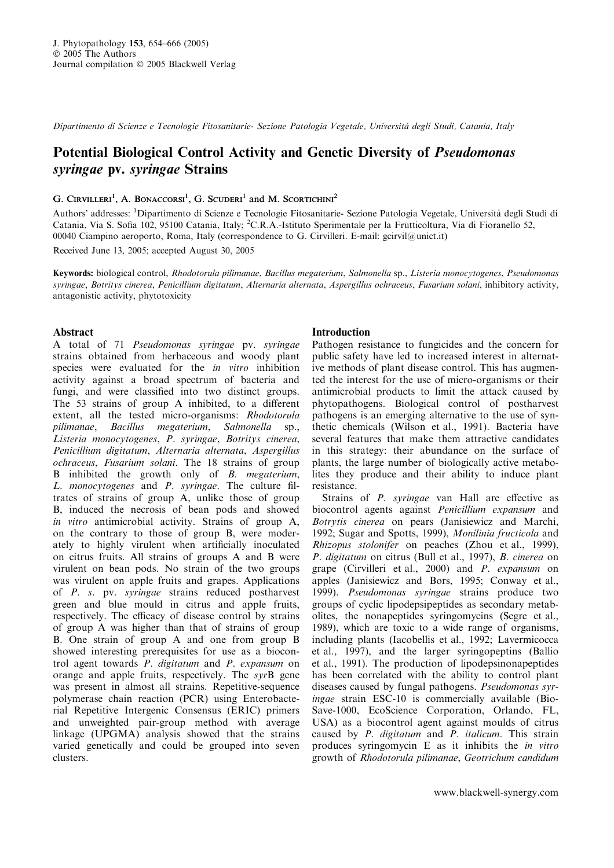Dipartimento di Scienze e Tecnologie Fitosanitarie- Sezione Patologia Vegetale, Universitá degli Studi, Catania, Italy

# Potential Biological Control Activity and Genetic Diversity of Pseudomonas syringae pv. syringae Strains

# G. CIRVILLERI<sup>1</sup>, A. BONACCORSI<sup>1</sup>, G. SCUDERI<sup>1</sup> and M. SCORTICHINI<sup>2</sup>

Authors' addresses: <sup>1</sup>Dipartimento di Scienze e Tecnologie Fitosanitarie- Sezione Patologia Vegetale, Università degli Studi di Catania, Via S. Sofia 102, 95100 Catania, Italy; <sup>2</sup>C.R.A.-Istituto Sperimentale per la Frutticoltura, Via di Fioranello 52, 00040 Ciampino aeroporto, Roma, Italy (correspondence to G. Cirvilleri. E-mail: gcirvil@unict.it) Received June 13, 2005; accepted August 30, 2005

Keywords: biological control, Rhodotorula pilimanae, Bacillus megaterium, Salmonella sp., Listeria monocytogenes, Pseudomonas syringae, Botritys cinerea, Penicillium digitatum, Alternaria alternata, Aspergillus ochraceus, Fusarium solani, inhibitory activity, antagonistic activity, phytotoxicity

# Abstract

A total of 71 Pseudomonas syringae pv. syringae strains obtained from herbaceous and woody plant species were evaluated for the *in vitro* inhibition activity against a broad spectrum of bacteria and fungi, and were classified into two distinct groups. The 53 strains of group A inhibited, to a different extent, all the tested micro-organisms: Rhodotorula pilimanae, Bacillus megaterium, Salmonella sp., Listeria monocytogenes, P. syringae, Botritys cinerea, Penicillium digitatum, Alternaria alternata, Aspergillus ochraceus, Fusarium solani. The 18 strains of group B inhibited the growth only of B. megaterium, L. monocytogenes and P. syringae. The culture filtrates of strains of group A, unlike those of group B, induced the necrosis of bean pods and showed in vitro antimicrobial activity. Strains of group A, on the contrary to those of group B, were moderately to highly virulent when artificially inoculated on citrus fruits. All strains of groups A and B were virulent on bean pods. No strain of the two groups was virulent on apple fruits and grapes. Applications of P. s. pv. syringae strains reduced postharvest green and blue mould in citrus and apple fruits, respectively. The efficacy of disease control by strains of group A was higher than that of strains of group B. One strain of group A and one from group B showed interesting prerequisites for use as a biocontrol agent towards P. digitatum and P. expansum on orange and apple fruits, respectively. The syrB gene was present in almost all strains. Repetitive-sequence polymerase chain reaction (PCR) using Enterobacterial Repetitive Intergenic Consensus (ERIC) primers and unweighted pair-group method with average linkage (UPGMA) analysis showed that the strains varied genetically and could be grouped into seven clusters.

# Introduction

Pathogen resistance to fungicides and the concern for public safety have led to increased interest in alternative methods of plant disease control. This has augmented the interest for the use of micro-organisms or their antimicrobial products to limit the attack caused by phytopathogens. Biological control of postharvest pathogens is an emerging alternative to the use of synthetic chemicals (Wilson et al., 1991). Bacteria have several features that make them attractive candidates in this strategy: their abundance on the surface of plants, the large number of biologically active metabolites they produce and their ability to induce plant resistance.

Strains of P. syringae van Hall are effective as biocontrol agents against Penicillium expansum and Botrytis cinerea on pears (Janisiewicz and Marchi, 1992; Sugar and Spotts, 1999), Monilinia fructicola and Rhizopus stolonifer on peaches (Zhou et al., 1999), P. digitatum on citrus (Bull et al., 1997), B. cinerea on grape (Cirvilleri et al., 2000) and P. expansum on apples (Janisiewicz and Bors, 1995; Conway et al., 1999). Pseudomonas syringae strains produce two groups of cyclic lipodepsipeptides as secondary metabolites, the nonapeptides syringomycins (Segre et al., 1989), which are toxic to a wide range of organisms, including plants (Iacobellis et al., 1992; Lavermicocca et al., 1997), and the larger syringopeptins (Ballio et al., 1991). The production of lipodepsinonapeptides has been correlated with the ability to control plant diseases caused by fungal pathogens. Pseudomonas syringae strain ESC-10 is commercially available (Bio-Save-1000, EcoScience Corporation, Orlando, FL, USA) as a biocontrol agent against moulds of citrus caused by P. digitatum and P. italicum. This strain produces syringomycin E as it inhibits the in vitro growth of Rhodotorula pilimanae, Geotrichum candidum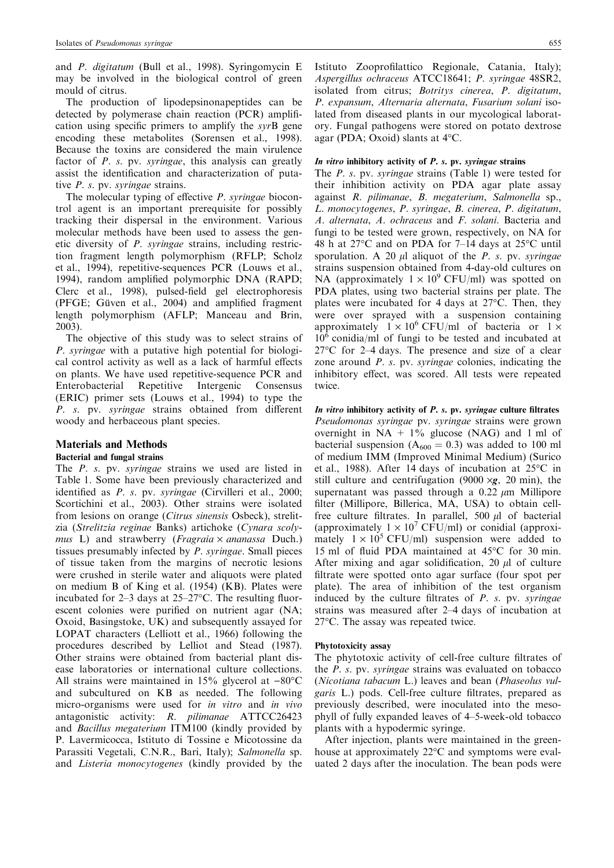and P. digitatum (Bull et al., 1998). Syringomycin E may be involved in the biological control of green mould of citrus.

The production of lipodepsinonapeptides can be detected by polymerase chain reaction (PCR) amplification using specific primers to amplify the syrB gene encoding these metabolites (Sorensen et al., 1998). Because the toxins are considered the main virulence factor of P. s. pv. *syringae*, this analysis can greatly assist the identification and characterization of putative P. s. pv. syringae strains.

The molecular typing of effective *P. syringae* biocontrol agent is an important prerequisite for possibly tracking their dispersal in the environment. Various molecular methods have been used to assess the genetic diversity of P. syringae strains, including restriction fragment length polymorphism (RFLP; Scholz et al., 1994), repetitive-sequences PCR (Louws et al., 1994), random amplified polymorphic DNA (RAPD; Clerc et al., 1998), pulsed-field gel electrophoresis (PFGE; Güven et al.,  $2004$ ) and amplified fragment length polymorphism (AFLP; Manceau and Brin, 2003).

The objective of this study was to select strains of P. syringae with a putative high potential for biological control activity as well as a lack of harmful effects on plants. We have used repetitive-sequence PCR and Enterobacterial Repetitive Intergenic Consensus (ERIC) primer sets (Louws et al., 1994) to type the P. s. pv. syringae strains obtained from different woody and herbaceous plant species.

### Materials and Methods

### Bacterial and fungal strains

The *P. s.* pv. *syringae* strains we used are listed in Table 1. Some have been previously characterized and identified as P. s. pv. syringae (Cirvilleri et al., 2000; Scortichini et al., 2003). Other strains were isolated from lesions on orange (Citrus sinensis Osbeck), strelitzia (Strelitzia reginae Banks) artichoke (Cynara scolymus L) and strawberry (*Fragraia*  $\times$  *ananassa* Duch.) tissues presumably infected by P. syringae. Small pieces of tissue taken from the margins of necrotic lesions were crushed in sterile water and aliquots were plated on medium B of King et al. (1954) (KB). Plates were incubated for  $2-3$  days at  $25-27$ °C. The resulting fluorescent colonies were purified on nutrient agar (NA; Oxoid, Basingstoke, UK) and subsequently assayed for LOPAT characters (Lelliott et al., 1966) following the procedures described by Lelliot and Stead (1987). Other strains were obtained from bacterial plant disease laboratories or international culture collections. All strains were maintained in 15% glycerol at  $-80^{\circ}$ C and subcultured on KB as needed. The following micro-organisms were used for in vitro and in vivo antagonistic activity: R. pilimanae ATTCC26423 and Bacillus megaterium ITM100 (kindly provided by P. Lavermicocca, Istituto di Tossine e Micotossine da Parassiti Vegetali, C.N.R., Bari, Italy); Salmonella sp. and Listeria monocytogenes (kindly provided by the

Istituto Zooprofilattico Regionale, Catania, Italy); Aspergillus ochraceus ATCC18641; P. syringae 48SR2, isolated from citrus; Botritys cinerea, P. digitatum, P. expansum, Alternaria alternata, Fusarium solani isolated from diseased plants in our mycological laboratory. Fungal pathogens were stored on potato dextrose agar (PDA; Oxoid) slants at 4°C.

### In vitro inhibitory activity of  $P$ . s. pv. syringae strains

The P. s. pv. syringae strains (Table 1) were tested for their inhibition activity on PDA agar plate assay against R. pilimanae, B. megaterium, Salmonella sp., L. monocytogenes, P. syringae, B. cinerea, P. digitatum, A. alternata, A. ochraceus and F. solani. Bacteria and fungi to be tested were grown, respectively, on NA for 48 h at 27°C and on PDA for 7–14 days at 25°C until sporulation. A 20  $\mu$ l aliquot of the *P. s.* pv. *syringae* strains suspension obtained from 4-day-old cultures on NA (approximately  $1 \times 10^9$  CFU/ml) was spotted on PDA plates, using two bacterial strains per plate. The plates were incubated for 4 days at  $27^{\circ}$ C. Then, they were over sprayed with a suspension containing approximately  $1 \times 10^6$  CFU/ml of bacteria or  $1 \times$  $10<sup>6</sup>$  conidia/ml of fungi to be tested and incubated at  $27^{\circ}$ C for 2–4 days. The presence and size of a clear zone around P. s. pv. syringae colonies, indicating the inhibitory effect, was scored. All tests were repeated twice.

In vitro inhibitory activity of P. s. pv. syringae culture filtrates Pseudomonas syringae pv. syringae strains were grown overnight in  $NA + 1\%$  glucose (NAG) and 1 ml of bacterial suspension ( $A_{600} = 0.3$ ) was added to 100 ml of medium IMM (Improved Minimal Medium) (Surico et al., 1988). After 14 days of incubation at 25°C in still culture and centrifugation (9000  $\times g$ , 20 min), the supernatant was passed through a  $0.22 \mu m$  Millipore filter (Millipore, Billerica, MA, USA) to obtain cellfree culture filtrates. In parallel,  $500 \mu l$  of bacterial (approximately  $1 \times 10^7$  CFU/ml) or conidial (approximately  $1 \times 10^5$  CFU/ml) suspension were added to 15 ml of fluid PDA maintained at  $45^{\circ}$ C for 30 min. After mixing and agar solidification, 20  $\mu$ l of culture filtrate were spotted onto agar surface (four spot per plate). The area of inhibition of the test organism induced by the culture filtrates of P. s. pv. syringae strains was measured after 2–4 days of incubation at 27°C. The assay was repeated twice.

### Phytotoxicity assay

The phytotoxic activity of cell-free culture filtrates of the P. s. pv. syringae strains was evaluated on tobacco (Nicotiana tabacum L.) leaves and bean (Phaseolus vulgaris L.) pods. Cell-free culture filtrates, prepared as previously described, were inoculated into the mesophyll of fully expanded leaves of 4–5-week-old tobacco plants with a hypodermic syringe.

After injection, plants were maintained in the greenhouse at approximately 22°C and symptoms were evaluated 2 days after the inoculation. The bean pods were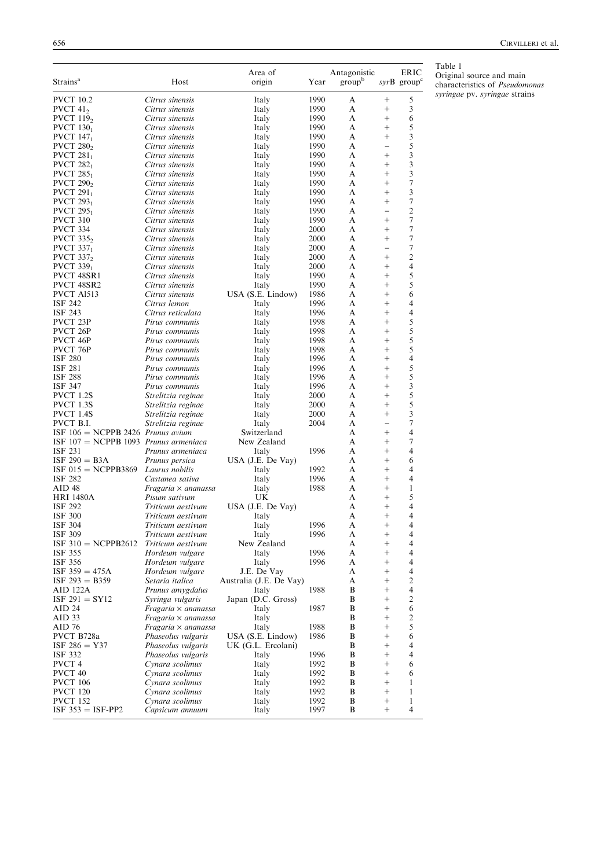| Table 1                        |
|--------------------------------|
| Original source and main       |
| opponentementing of Decudement |

characteristics of Pseudomonas syringae pv. syringae strains

|                                                  |                                               | Area of                    |              | Antagonistic |                          | ERIC                                                 |
|--------------------------------------------------|-----------------------------------------------|----------------------------|--------------|--------------|--------------------------|------------------------------------------------------|
| Strains <sup>a</sup>                             | Host                                          | origin                     | Year         | groupb       |                          | syrB group <sup>c</sup>                              |
| <b>PVCT 10.2</b>                                 | Citrus sinensis                               |                            | 1990         | А            | $^{+}$                   | 5                                                    |
| PVCT $41_2$                                      | Citrus sinensis                               | Italy<br>Italy             | 1990         | A            | $^{+}$                   | 3                                                    |
| PVCT 119 <sub>2</sub>                            | Citrus sinensis                               | Italy                      | 1990         | A            | $^{+}$                   | 6                                                    |
| <b>PVCT</b> 130 <sub>1</sub>                     | Citrus sinensis                               | Italy                      | 1990         | A            | $^{+}$                   | 5                                                    |
| PVCT 147 <sub>1</sub>                            | Citrus sinensis                               | Italy                      | 1990         | A            | $^{+}$                   | 3                                                    |
| <b>PVCT 2802</b>                                 | Citrus sinensis                               | Italy                      | 1990         | A            | $\overline{\phantom{0}}$ | 5                                                    |
| PVCT 281 <sub>1</sub>                            | Citrus sinensis                               | Italy                      | 1990         | A            | $^{+}$                   | 3                                                    |
| <b>PVCT 282</b> <sub>1</sub>                     | Citrus sinensis                               | Italy                      | 1990         | A            | $^{+}$                   | 3                                                    |
| <b>PVCT 285</b>                                  | Citrus sinensis                               | Italy                      | 1990         | A            | $^{+}$<br>$^{+}$         | 3                                                    |
| <b>PVCT 2902</b><br><b>PVCT 291</b> <sub>1</sub> | Citrus sinensis<br>Citrus sinensis            | Italy<br>Italy             | 1990<br>1990 | A<br>A       | $^{+}$                   | 7<br>3                                               |
| <b>PVCT 293</b> <sub>1</sub>                     | Citrus sinensis                               | Italy                      | 1990         | A            | $^{+}$                   | 7                                                    |
| <b>PVCT 295</b>                                  | Citrus sinensis                               | Italy                      | 1990         | A            | $\overline{\phantom{0}}$ | 2                                                    |
| <b>PVCT 310</b>                                  | Citrus sinensis                               | Italy                      | 1990         | A            | $^{+}$                   | 7                                                    |
| <b>PVCT 334</b>                                  | Citrus sinensis                               | Italy                      | 2000         | A            | $^{+}$                   | 7                                                    |
| <b>PVCT 3352</b>                                 | Citrus sinensis                               | Italy                      | 2000         | A            | $^{+}$                   | 7                                                    |
| PVCT $3371$                                      | Citrus sinensis                               | Italy                      | 2000         | A            | $\overline{\phantom{0}}$ | 7                                                    |
| <b>PVCT 3372</b>                                 | Citrus sinensis                               | Italy                      | 2000         | A            | $^{+}$                   | $\mathfrak{2}$                                       |
| <b>PVCT 3391</b>                                 | Citrus sinensis                               | Italy                      | 2000         | A            | $^{+}$                   | 4                                                    |
| PVCT 48SR1                                       | Citrus sinensis                               | Italy                      | 1990         | A<br>A       | $^{+}$<br>$^{+}$         | 5<br>5                                               |
| PVCT 48SR2<br>PVCT A1513                         | Citrus sinensis<br>Citrus sinensis            | Italy<br>USA (S.E. Lindow) | 1990<br>1986 | A            | $^{+}$                   | 6                                                    |
| ISF 242                                          | Citrus lemon                                  | Italy                      | 1996         | A            | $^{+}$                   | 4                                                    |
| ISF 243                                          | Citrus reticulata                             | Italy                      | 1996         | A            | $^{+}$                   | 4                                                    |
| PVCT 23P                                         | Pirus communis                                | Italy                      | 1998         | A            | $^{+}$                   | 5                                                    |
| PVCT 26P                                         | Pirus communis                                | Italy                      | 1998         | A            | $^{+}$                   | 5                                                    |
| PVCT 46P                                         | Pirus communis                                | Italy                      | 1998         | A            | $^{+}$                   | 5                                                    |
| PVCT 76P                                         | Pirus communis                                | Italy                      | 1998         | A            | $^{+}$                   | 5                                                    |
| <b>ISF 280</b>                                   | Pirus communis                                | Italy                      | 1996         | A            | $^{+}$                   | 4                                                    |
| <b>ISF 281</b>                                   | Pirus communis                                | Italy                      | 1996         | A            | $^{+}$                   | 5                                                    |
| <b>ISF 288</b><br>ISF 347                        | Pirus communis<br>Pirus communis              | Italy                      | 1996<br>1996 | A<br>A       | $^{+}$<br>$^{+}$         | 5<br>3                                               |
| PVCT 1.2S                                        | Strelitzia reginae                            | Italy<br>Italy             | 2000         | A            | $^{+}$                   | 5                                                    |
| PVCT 1.3S                                        | Strelitzia reginae                            | Italy                      | 2000         | A            | $^{+}$                   | 5                                                    |
| PVCT 1.4S                                        | Strelitzia reginae                            | Italy                      | 2000         | A            | $^{+}$                   | 3                                                    |
| PVCT B.I.                                        | Strelitzia reginae                            | Italy                      | 2004         | A            | $\overline{\phantom{0}}$ | 7                                                    |
| ISF $106 = \text{NCPPB} 2426$ Prunus avium       |                                               | Switzerland                |              | A            | $^{+}$                   | 4                                                    |
| ISF $107 = NCPPB$ 1093 <i>Prunus armeniaca</i>   |                                               | New Zealand                |              | A            | $^{+}$                   | 7                                                    |
| <b>ISF 231</b>                                   | Prunus armeniaca                              | Italy                      | 1996         | A            | $^{+}$                   | 4                                                    |
| ISF $290 = B3A$                                  | Prunus persica                                | USA (J.E. De Vay)          |              | A            | $^{+}$                   | 6                                                    |
| $ISF 015 = NCPPB3869$<br><b>ISF 282</b>          | Laurus nobilis                                | Italy                      | 1992         | A<br>А       | $^{+}$<br>$^{+}$         | 4<br>4                                               |
| AID <sub>48</sub>                                | Castanea sativa<br>$Fragaria \times ananassa$ | Italy<br>Italy             | 1996<br>1988 | A            | $^{+}$                   | 1                                                    |
| <b>HRI 1480A</b>                                 | Pisum sativum                                 | UK                         |              | А            | $^{+}$                   | 5                                                    |
| ISF 292                                          | Triticum aestivum                             | USA (J.E. De Vay)          |              | A            | $^{+}$                   | 4                                                    |
| <b>ISF 300</b>                                   | Triticum aestivum                             | Italy                      |              | A            | $^{+}$                   | 4                                                    |
| ISF 304                                          | Triticum aestivum                             | Italy                      | 1996         | A            | $^{+}$                   | 4                                                    |
| ISF 309                                          | Triticum aestivum                             | Italy                      | 1996         | A            |                          | $\overline{\mathcal{L}}$                             |
| ISF $310 = NCPPB2612$                            | Triticum aestivum                             | New Zealand                |              | A            |                          | $\overline{\mathcal{A}}$                             |
| <b>ISF 355</b>                                   | Hordeum vulgare                               | Italy                      | 1996         | A            | $^{+}$<br>$^{+}$         | 4                                                    |
| ISF 356<br>ISF $359 = 475A$                      | Hordeum vulgare<br>Hordeum vulgare            | Italy<br>J.E. De Vay       | 1996         | A<br>А       | $^{+}$                   | $\overline{\mathcal{A}}$<br>$\overline{\mathcal{L}}$ |
| ISF $293 = B359$                                 | Setaria italica                               | Australia (J.E. De Vay)    |              | A            | $^{+}$                   | $\overline{c}$                                       |
| <b>AID 122A</b>                                  | Prunus amygdalus                              | Italy                      | 1988         | B            | $^{+}$                   | $\overline{\mathcal{L}}$                             |
| $ISF 291 = SY12$                                 | Syringa vulgaris                              | Japan (D.C. Gross)         |              | B            | $^{+}$                   | $\overline{c}$                                       |
| AID 24                                           | $Fragaria \times ananassa$                    | Italy                      | 1987         | B            | $\! + \!\!\!\!$          | 6                                                    |
| AID 33                                           | $Fragaria \times ananassa$                    | Italy                      |              | B            | $^{+}$                   | $\overline{c}$                                       |
| AID 76                                           | Fragaria × ananassa                           | Italy                      | 1988         | B            | $^{+}$                   | 5                                                    |
| PVCT B728a                                       | Phaseolus vulgaris                            | USA (S.E. Lindow)          | 1986         | B            | $^{+}$                   | 6                                                    |
| $ISF 286 = Y37$                                  | Phaseolus vulgaris                            | UK (G.L. Ercolani)         |              | B            | $^{+}$                   | 4                                                    |
| ISF 332<br>PVCT 4                                | Phaseolus vulgaris<br>Cynara scolimus         | Italy<br>Italy             | 1996         | B<br>B       | $^{+}$<br>$^{+}$         | 4<br>6                                               |
| PVCT 40                                          | Cynara scolimus                               | Italy                      | 1992<br>1992 | B            | $^{+}$                   | 6                                                    |
| <b>PVCT 106</b>                                  | Cynara scolimus                               | Italy                      | 1992         | B            | $^{+}$                   | 1                                                    |
| <b>PVCT 120</b>                                  | Cynara scolimus                               | Italy                      | 1992         | B            | $^{+}$                   | 1                                                    |
| <b>PVCT 152</b>                                  | Cynara scolimus                               | Italy                      | 1992         | B            | $^+$                     | 1                                                    |
| $ISF 353 = ISF-PP2$                              | Capsicum annuum                               | Italy                      | 1997         | B            | $^{+}$                   | 4                                                    |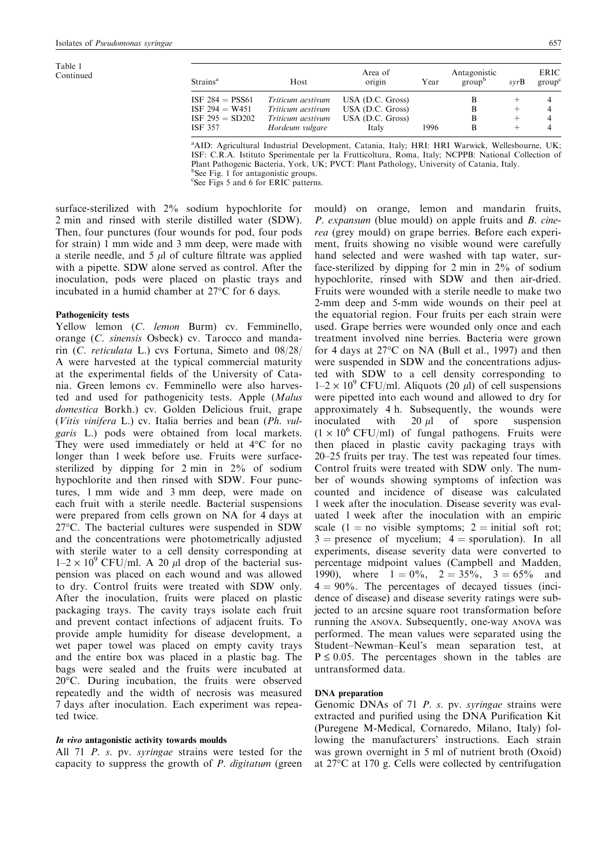Table 1 Continued

| Strains <sup>a</sup> | Host              | Area of<br>origin  | Year | Antagonistic<br>group <sup>b</sup> | $svr\mathbf{B}$ | <b>ERIC</b><br>group <sup>c</sup> |
|----------------------|-------------------|--------------------|------|------------------------------------|-----------------|-----------------------------------|
| $ISF 284 = PSS61$    | Triticum aestivum | USA $(D.C. Gross)$ |      |                                    |                 |                                   |
| $ISF 294 = W451$     | Triticum aestivum | USA $(D.C. Gross)$ |      | B                                  |                 |                                   |
| $ISF 295 = SD202$    | Triticum aestivum | USA $(D.C. Gross)$ |      | в                                  |                 |                                   |
| ISF 357              | Hordeum vulgare   | Italy              | 1996 | B                                  |                 |                                   |

a AID: Agricultural Industrial Development, Catania, Italy; HRI: HRI Warwick, Wellesbourne, UK; ISF: C.R.A. Istituto Sperimentale per la Frutticoltura, Roma, Italy; NCPPB: National Collection of Plant Pathogenic Bacteria, York, UK; PVCT: Plant Pathology, University of Catania, Italy. <sup>b</sup>See Fig. 1 for antagonistic groups. <sup>c</sup>See Figs 5 and 6 for ERIC patterns.

surface-sterilized with 2% sodium hypochlorite for 2 min and rinsed with sterile distilled water (SDW). Then, four punctures (four wounds for pod, four pods for strain) 1 mm wide and 3 mm deep, were made with a sterile needle, and  $5 \mu l$  of culture filtrate was applied with a pipette. SDW alone served as control. After the inoculation, pods were placed on plastic trays and incubated in a humid chamber at  $27^{\circ}$ C for 6 days.

### Pathogenicity tests

Yellow lemon (C. lemon Burm) cv. Femminello, orange (C. sinensis Osbeck) cv. Tarocco and mandarin (C. reticulata L.) cvs Fortuna, Simeto and 08/28/ A were harvested at the typical commercial maturity at the experimental fields of the University of Catania. Green lemons cv. Femminello were also harvested and used for pathogenicity tests. Apple (Malus domestica Borkh.) cv. Golden Delicious fruit, grape (Vitis vinifera L.) cv. Italia berries and bean (Ph. vulgaris L.) pods were obtained from local markets. They were used immediately or held at  $4^{\circ}$ C for no longer than 1 week before use. Fruits were surfacesterilized by dipping for 2 min in 2% of sodium hypochlorite and then rinsed with SDW. Four punctures, 1 mm wide and 3 mm deep, were made on each fruit with a sterile needle. Bacterial suspensions were prepared from cells grown on NA for 4 days at 27°C. The bacterial cultures were suspended in SDW and the concentrations were photometrically adjusted with sterile water to a cell density corresponding at  $1-2 \times 10^9$  CFU/ml. A 20  $\mu$ l drop of the bacterial suspension was placed on each wound and was allowed to dry. Control fruits were treated with SDW only. After the inoculation, fruits were placed on plastic packaging trays. The cavity trays isolate each fruit and prevent contact infections of adjacent fruits. To provide ample humidity for disease development, a wet paper towel was placed on empty cavity trays and the entire box was placed in a plastic bag. The bags were sealed and the fruits were incubated at 20°C. During incubation, the fruits were observed repeatedly and the width of necrosis was measured 7 days after inoculation. Each experiment was repeated twice.

# In vivo antagonistic activity towards moulds

All 71 P. s. pv. syringae strains were tested for the capacity to suppress the growth of P. digitatum (green mould) on orange, lemon and mandarin fruits, P. expansum (blue mould) on apple fruits and B. cinerea (grey mould) on grape berries. Before each experiment, fruits showing no visible wound were carefully hand selected and were washed with tap water, surface-sterilized by dipping for 2 min in 2% of sodium hypochlorite, rinsed with SDW and then air-dried. Fruits were wounded with a sterile needle to make two 2-mm deep and 5-mm wide wounds on their peel at the equatorial region. Four fruits per each strain were used. Grape berries were wounded only once and each treatment involved nine berries. Bacteria were grown for 4 days at  $27^{\circ}$ C on NA (Bull et al., 1997) and then were suspended in SDW and the concentrations adjusted with SDW to a cell density corresponding to  $1-2 \times 10^{9}$  CFU/ml. Aliquots (20 µl) of cell suspensions were pipetted into each wound and allowed to dry for approximately 4 h. Subsequently, the wounds were inoculated with  $20 \mu l$  of spore suspension  $(1 \times 10^6 \text{ CFU/ml})$  of fungal pathogens. Fruits were then placed in plastic cavity packaging trays with 20–25 fruits per tray. The test was repeated four times. Control fruits were treated with SDW only. The number of wounds showing symptoms of infection was counted and incidence of disease was calculated 1 week after the inoculation. Disease severity was evaluated 1 week after the inoculation with an empiric scale  $(1 = no$  visible symptoms;  $2 = initial$  soft rot;  $3$  = presence of mycelium;  $4$  = sporulation). In all experiments, disease severity data were converted to percentage midpoint values (Campbell and Madden, 1990), where  $1 = 0\%$ ,  $2 = 35\%$ ,  $3 = 65\%$  and  $4 = 90\%$ . The percentages of decayed tissues (incidence of disease) and disease severity ratings were subjected to an arcsine square root transformation before running the anova. Subsequently, one-way anova was performed. The mean values were separated using the Student–Newman–Keul's mean separation test, at  $P \le 0.05$ . The percentages shown in the tables are untransformed data.

### DNA preparation

Genomic DNAs of 71 P. s. pv. syringae strains were extracted and purified using the DNA Purification Kit (Puregene M-Medical, Cornaredo, Milano, Italy) following the manufacturers' instructions. Each strain was grown overnight in 5 ml of nutrient broth (Oxoid) at 27 °C at 170 g. Cells were collected by centrifugation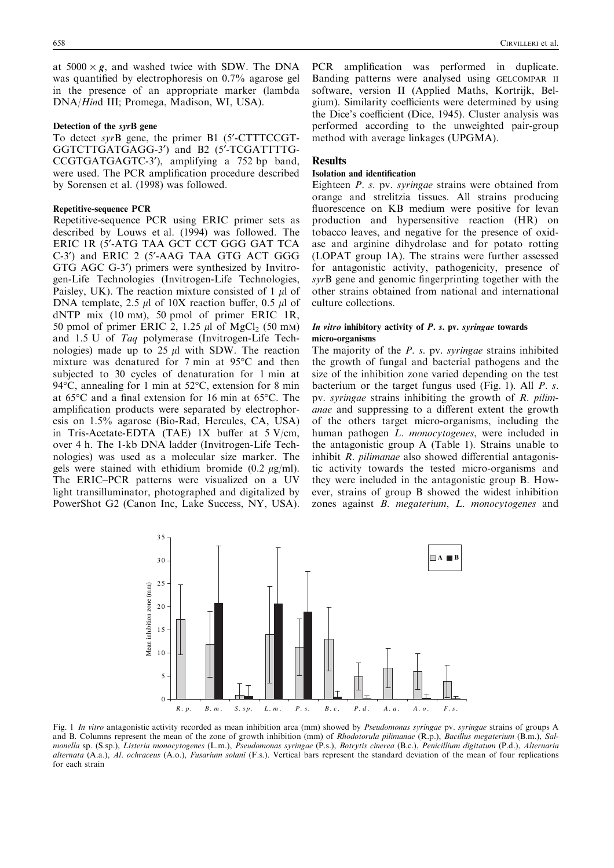at  $5000 \times g$ , and washed twice with SDW. The DNA was quantified by electrophoresis on 0.7% agarose gel in the presence of an appropriate marker (lambda DNA/Hind III; Promega, Madison, WI, USA).

### Detection of the syrB gene

To detect syrB gene, the primer B1 (5'-CTTTCCGT-GGTCTTGATGAGG-3') and B2 (5'-TCGATTTTG-CCGTGATGAGTC-3'), amplifying a 752 bp band, were used. The PCR amplification procedure described by Sorensen et al. (1998) was followed.

# Repetitive-sequence PCR

Repetitive-sequence PCR using ERIC primer sets as described by Louws et al. (1994) was followed. The ERIC 1R (5'-ATG TAA GCT CCT GGG GAT TCA C-3') and ERIC 2 (5'-AAG TAA GTG ACT GGG GTG AGC G-3<sup>'</sup>) primers were synthesized by Invitrogen-Life Technologies (Invitrogen-Life Technologies, Paisley, UK). The reaction mixture consisted of 1  $\mu$ l of DNA template, 2.5  $\mu$ l of 10X reaction buffer, 0.5  $\mu$ l of dNTP mix (10 mm), 50 pmol of primer ERIC 1R, 50 pmol of primer ERIC 2, 1.25  $\mu$ l of MgCl<sub>2</sub> (50 mm) and 1.5 U of Taq polymerase (Invitrogen-Life Technologies) made up to 25  $\mu$ l with SDW. The reaction mixture was denatured for 7 min at  $95^{\circ}$ C and then subjected to 30 cycles of denaturation for 1 min at 94°C, annealing for 1 min at 52°C, extension for 8 min at  $65^{\circ}$ C and a final extension for 16 min at  $65^{\circ}$ C. The amplification products were separated by electrophoresis on 1.5% agarose (Bio-Rad, Hercules, CA, USA) in Tris-Acetate-EDTA (TAE) 1X buffer at  $5 \text{ V/cm}$ , over 4 h. The 1-kb DNA ladder (Invitrogen-Life Technologies) was used as a molecular size marker. The gels were stained with ethidium bromide (0.2  $\mu$ g/ml). The ERIC–PCR patterns were visualized on a UV light transilluminator, photographed and digitalized by PowerShot G2 (Canon Inc, Lake Success, NY, USA).

PCR amplification was performed in duplicate. Banding patterns were analysed using GELCOMPAR II software, version II (Applied Maths, Kortrijk, Belgium). Similarity coefficients were determined by using the Dice's coefficient (Dice, 1945). Cluster analysis was performed according to the unweighted pair-group method with average linkages (UPGMA).

#### Results

# Isolation and identification

Eighteen P. s. pv. syringae strains were obtained from orange and strelitzia tissues. All strains producing fluorescence on KB medium were positive for levan production and hypersensitive reaction (HR) on tobacco leaves, and negative for the presence of oxidase and arginine dihydrolase and for potato rotting (LOPAT group 1A). The strains were further assessed for antagonistic activity, pathogenicity, presence of syrB gene and genomic fingerprinting together with the other strains obtained from national and international culture collections.

# In vitro inhibitory activity of P. s. pv. syringae towards micro-organisms

The majority of the *P. s.* pv. *syringae* strains inhibited the growth of fungal and bacterial pathogens and the size of the inhibition zone varied depending on the test bacterium or the target fungus used (Fig. 1). All P. s. pv. syringae strains inhibiting the growth of R. pilimanae and suppressing to a different extent the growth of the others target micro-organisms, including the human pathogen L. monocytogenes, were included in the antagonistic group A (Table 1). Strains unable to inhibit R. pilimanae also showed differential antagonistic activity towards the tested micro-organisms and they were included in the antagonistic group B. However, strains of group B showed the widest inhibition zones against B. megaterium, L. monocytogenes and



Fig. 1 In vitro antagonistic activity recorded as mean inhibition area (mm) showed by Pseudomonas syringae pv. syringae strains of groups A and B. Columns represent the mean of the zone of growth inhibition (mm) of Rhodotorula pilimanae (R.p.), Bacillus megaterium (B.m.), Salmonella sp. (S.sp.), Listeria monocytogenes (L.m.), Pseudomonas syringae (P.s.), Botrytis cinerea (B.c.), Penicillium digitatum (P.d.), Alternaria alternata (A.a.), Al. ochraceus (A.o.), Fusarium solani (F.s.). Vertical bars represent the standard deviation of the mean of four replications for each strain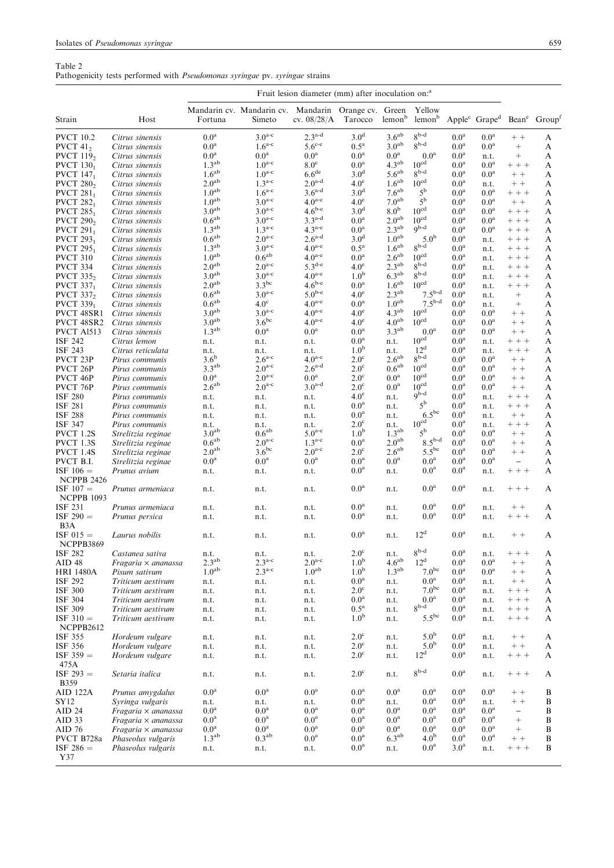# Table 2

Pathogenicity tests performed with *Pseudomonas syringae* pv. syringae strains

|                                                 |                                                          |                                        |                                                               | Fruit lesion diameter (mm) after inoculation on: <sup>a</sup> |                                      |                                     |                                      |                                      |                                       |                   |                                      |
|-------------------------------------------------|----------------------------------------------------------|----------------------------------------|---------------------------------------------------------------|---------------------------------------------------------------|--------------------------------------|-------------------------------------|--------------------------------------|--------------------------------------|---------------------------------------|-------------------|--------------------------------------|
| Strain                                          | Host                                                     | Fortuna                                | Mandarin cv. Mandarin cv. Mandarin Orange cv. Green<br>Simeto | cv. $08/28/A$                                                 | Tarocco                              | lemon <sup>b</sup>                  | Yellow<br>lemon <sup>b</sup>         |                                      | Apple <sup>c</sup> Grape <sup>d</sup> |                   | Bean <sup>e</sup> Group <sup>f</sup> |
| <b>PVCT 10.2</b>                                | Citrus sinensis                                          | 0.0 <sup>a</sup>                       | $3.0^{a-c}$                                                   | $2.3^{\mathrm{a-d}}$                                          | 3.0 <sup>d</sup>                     | $3.6^{ab}$                          | $8^{b-d}$                            | 0.0 <sup>a</sup>                     | 0.0 <sup>a</sup>                      | $+ +$             | A                                    |
| $PVCT$ 41,                                      | Citrus sinensis                                          | 0.0 <sup>a</sup>                       | $1.6^{\rm a-c}$                                               | $5.6^{\text{c-e}}$                                            | $0.5^{\mathrm{a}}$                   | $3.0^{\mathrm{ab}}$                 | $8^{b-d}$                            | 0.0 <sup>a</sup>                     | 0.0 <sup>a</sup>                      |                   | A                                    |
| <b>PVCT</b> 119 <sub>2</sub>                    | Citrus sinensis                                          | 0.0 <sup>a</sup>                       | 0.0 <sup>a</sup>                                              | 0.0 <sup>a</sup>                                              | 0.0 <sup>a</sup>                     | 0.0 <sup>a</sup>                    | 0.0 <sup>a</sup>                     | 0.0 <sup>a</sup>                     | n.t.                                  | $\! + \!\!\!\!$   | A                                    |
| PVCT $130_1$                                    | Citrus sinensis                                          | 1.3 <sup>ab</sup>                      | $1.0^{a-c}$                                                   | 8.0 <sup>e</sup>                                              | 0.0 <sup>a</sup>                     | $4.3^{ab}$                          | $10^{cd}$                            | 0.0 <sup>a</sup>                     | $0.0^{\rm a}$                         | $+ + +$           | A                                    |
| <b>PVCT 147</b> 1                               | Citrus sinensis                                          | 1.6 <sup>ab</sup>                      | $1.0^{\mathrm{a-c}}$                                          | $6.6^{\rm de}$                                                | 3.0 <sup>d</sup>                     | $5.6^{\rm ab}$                      | $8^{\rm b\text{-}d}$                 | 0.0 <sup>a</sup>                     | 0.0 <sup>a</sup>                      | $+ +$             | A                                    |
| <b>PVCT 280</b> 2                               | Citrus sinensis                                          | 2.0 <sup>ab</sup>                      | $1.3^{a-c}$                                                   | $2.0a-d$                                                      | $4.0^\circ$                          | $1.6^{\rm ab}$<br>7.6 <sup>ab</sup> | 10 <sup>cd</sup>                     | 0.0 <sup>a</sup>                     | n.t.                                  | $++$              | A                                    |
| <b>PVCT 281</b>                                 | Citrus sinensis                                          | 1.0 <sup>ab</sup><br>1.0 <sup>ab</sup> | $1.6^{a-c}$<br>$3.0^{a-c}$                                    | $3.6a-d$<br>$4.0^{a-e}$                                       | 3.0 <sup>d</sup><br>4.0 <sup>e</sup> | $7.0^{\rm ab}$                      | 5 <sup>b</sup><br>5 <sup>b</sup>     | 0.0 <sup>a</sup><br>0.0 <sup>a</sup> | 0.0 <sup>a</sup><br>0.0 <sup>a</sup>  | $+ + +$<br>$+ +$  | A                                    |
| <b>PVCT 282</b> <sub>1</sub><br><b>PVCT 285</b> | Citrus sinensis<br>Citrus sinensis                       | 3.0 <sup>ab</sup>                      | $3.0^{a-c}$                                                   | $4.6^{b-e}$                                                   | 3.0 <sup>d</sup>                     | $8.0^{\rm b}$                       | 10 <sup>cd</sup>                     | 0.0 <sup>a</sup>                     | 0.0 <sup>a</sup>                      | $+ + +$           | A<br>A                               |
| <b>PVCT 290</b>                                 | Citrus sinensis                                          | 0.6 <sup>ab</sup>                      | $3.0^{a-c}$                                                   | $3.3^{a-d}$                                                   | 0.0 <sup>a</sup>                     | 2.0 <sup>ab</sup>                   | 10 <sup>cd</sup>                     | 0.0 <sup>a</sup>                     | 0.0 <sup>a</sup>                      | $++ +$            | A                                    |
| <b>PVCT 291</b> <sub>1</sub>                    | Citrus sinensis                                          | 1.3 <sup>ab</sup>                      | $1.3^{a-c}$                                                   | $4.3^{a-e}$                                                   | 0.0 <sup>a</sup>                     | $2.3^{ab}$                          | $9b-d$                               | 0.0 <sup>a</sup>                     | 0.0 <sup>a</sup>                      | $++ +$            | A                                    |
| <b>PVCT 293</b> 1                               | Citrus sinensis                                          | $0.6^{\rm ab}$                         | $2.0^{a-c}$                                                   | $2.6^{\mathrm{a-d}}$                                          | 3.0 <sup>d</sup>                     | $1.0^{\mathrm{ab}}$                 | 5.0 <sup>b</sup>                     | 0.0 <sup>a</sup>                     | n.t.                                  | $++$              | A                                    |
| <b>PVCT 295</b> 1                               | Citrus sinensis                                          | $1.3^{\rm ab}$                         | $3.0^{\text{a-c}}$                                            | $4.0^{a-e}$                                                   | $0.5^{\mathrm{a}}$                   | $1.6^{\rm ab}$                      | $8^{b-d}$                            | 0.0 <sup>a</sup>                     | n.t.                                  | $++ +$            | A                                    |
| <b>PVCT 310</b>                                 | Citrus sinensis                                          | $1.0^{\mathrm{ab}}$                    | $0.6^{\rm ab}$                                                | $4.0^{a-e}$                                                   | 0.0 <sup>a</sup>                     | $2.6^{ab}$                          | $10^{cd}$                            | 0.0 <sup>a</sup>                     | n.t.                                  | $++$              | A                                    |
| <b>PVCT 334</b>                                 | Citrus sinensis                                          | 2.0 <sup>ab</sup>                      | $2.0^{\text{a-c}}$                                            | $5.3^{d-e}$                                                   | 4.0 <sup>e</sup>                     | $2.3^{ab}$                          | $8^{b-d}$                            | 0.0 <sup>a</sup>                     | n.t.                                  | $++ +$            | A                                    |
| <b>PVCT 3352</b>                                | Citrus sinensis                                          | $3.0^{\mathrm{ab}}$                    | $3.0^{\text{a-c}}$                                            | $4.0^{a-e}$                                                   | 1.0 <sup>b</sup>                     | $6.3^{\rm ab}$                      | $8^{b-d}$                            | 0.0 <sup>a</sup>                     | n.t.                                  | $++$              | A                                    |
| <b>PVCT 337</b> <sub>1</sub>                    | Citrus sinensis                                          | 2.0 <sup>ab</sup>                      | $3.3^{bc}$                                                    | $4.6^{b-e}$                                                   | 0.0 <sup>a</sup>                     | $1.6^{ab}$                          | $10^{\rm cd}$                        | 0.0 <sup>a</sup>                     | n.t.                                  | $++ +$            | A                                    |
| <b>PVCT 337,</b>                                | Citrus sinensis                                          | 0.6 <sup>ab</sup>                      | $3.0^{a-c}$                                                   | $5.0b-e$                                                      | $4.0^\circ$                          | $2.3^{\rm ab}$                      | $7.5^{b-d}$                          | 0.0 <sup>a</sup>                     | n.t.                                  | $\! + \!\!\!\!$   | A                                    |
| <b>PVCT 339</b> 1                               | Citrus sinensis                                          | 0.6 <sup>ab</sup>                      | 4.0 <sup>c</sup>                                              | $4.0a-e$                                                      | 0.0 <sup>a</sup>                     | 1.0 <sup>ab</sup>                   | $7.5^{b-d}$                          | 0.0 <sup>a</sup>                     | n.t.                                  | $\! + \!\!\!\!$   | A                                    |
| PVCT 48SR1                                      | Citrus sinensis                                          | $3.0^{ab}$                             | $3.0^{a-c}$                                                   | $4.0^{a-e}$                                                   | $4.0^\circ$                          | 4.3 <sup>ab</sup>                   | $10^{cd}$                            | 0.0 <sup>a</sup>                     | 0.0 <sup>a</sup>                      | $+ +$             | A                                    |
| PVCT 48SR2                                      | Citrus sinensis                                          | $3.0^{\mathrm{ab}}$                    | $3.6^{bc}$                                                    | $4.0a-e$                                                      | $4.0^\circ$                          | $4.0^{\rm ab}$                      | $10^{\rm cd}$                        | 0.0 <sup>a</sup>                     | 0.0 <sup>a</sup>                      | $+ +$             | A                                    |
| <b>PVCT A1513</b>                               | Citrus sinensis                                          | $1.3^{\rm ab}$                         | $0.0^{\rm a}$                                                 | 0.0 <sup>a</sup>                                              | 0.0 <sup>a</sup>                     | $3.3^{ab}$                          | 0.0 <sup>a</sup>                     | 0.0 <sup>a</sup>                     | 0.0 <sup>a</sup>                      | $++$              | A                                    |
| <b>ISF 242</b>                                  | Citrus lemon                                             | n.t.                                   | n.t.                                                          | n.t.                                                          | 0.0 <sup>a</sup>                     | n.t.                                | $10^{cd}$                            | 0.0 <sup>a</sup>                     | n.t.                                  | $++ +$            | A                                    |
| ISF 243                                         | Citrus reticulata                                        | n.t.                                   | n.t.                                                          | n.t.                                                          | 1.0 <sup>b</sup>                     | n.t.                                | $12^d$<br>$8^{\rm b\text{-}d}$       | 0.0 <sup>a</sup>                     | n.t.                                  | $++ +$            | A                                    |
| PVCT 23P                                        | Pirus communis                                           | 3.6 <sup>b</sup>                       | $2.6^{\mathrm{a-c}}$                                          | $4.0^{\text{a-e}}$                                            | $2.0^{\circ}$                        | $2.6^{ab}$                          |                                      | 0.0 <sup>a</sup>                     | 0.0 <sup>a</sup>                      | $+ +$             | A                                    |
| PVCT 26P                                        | Pirus communis                                           | $3.3^{ab}$                             | $2.0^{a-c}$                                                   | $2.6^{\mathrm{a-d}}$                                          | $2.0^{\circ}$                        | $0.6^{\rm ab}$                      | $10^{cd}$<br>$10^{\rm cd}$           | 0.0 <sup>a</sup>                     | 0.0 <sup>a</sup>                      | $++$              | A                                    |
| PVCT 46P                                        | Pirus communis                                           | $0.0^{\mathrm{a}}$<br>$2.6^{ab}$       | $2.0^{a-c}$<br>$2.0^{\text{a-c}}$                             | 0.0 <sup>a</sup>                                              | $2.0^\circ$                          | 0.0 <sup>a</sup>                    | 10 <sup>cd</sup>                     | 0.0 <sup>a</sup>                     | 0.0 <sup>a</sup>                      | $+ +$             | A                                    |
| PVCT 76P                                        | Pirus communis                                           |                                        |                                                               | $3.0a-d$                                                      | $2.0^\circ$                          | 0.0 <sup>a</sup>                    | $9b-d$                               | 0.0 <sup>a</sup><br>0.0 <sup>a</sup> | 0.0 <sup>a</sup>                      | $+ +$             | A                                    |
| <b>ISF 280</b><br><b>ISF 281</b>                | Pirus communis                                           | n.t.                                   | n.t.                                                          | n.t.                                                          | 4.0 <sup>e</sup><br>0.0 <sup>a</sup> | n.t.                                | 5 <sup>b</sup>                       | 0.0 <sup>a</sup>                     | n.t.                                  | $++ +$<br>$+ + +$ | A                                    |
| <b>ISF 288</b>                                  | Pirus communis<br>Pirus communis                         | n.t.<br>n.t.                           | n.t.<br>n.t.                                                  | n.t.<br>n.t.                                                  | 0.0 <sup>a</sup>                     | n.t.<br>n.t.                        | $6.5^{bc}$                           | 0.0 <sup>a</sup>                     | n.t.<br>n.t.                          | $++$              | A<br>A                               |
| ISF 347                                         | Pirus communis                                           | n.t.                                   | n.t.                                                          | n.t.                                                          | $2.0^\circ$                          | n.t.                                | $10^{cd}$                            | 0.0 <sup>a</sup>                     | n.t.                                  | $++ +$            | A                                    |
| PVCT 1.2S                                       | Strelitzia reginae                                       | 3.0 <sup>ab</sup>                      | 0.6 <sup>ab</sup>                                             | $5.0^{a-e}$                                                   | 1.0 <sup>b</sup>                     | 1.3 <sup>ab</sup>                   | 5 <sup>b</sup>                       | 0.0 <sup>a</sup>                     | 0.0 <sup>a</sup>                      | $++$              | A                                    |
| PVCT 1.3S                                       | Strelitzia reginae                                       | 0.6 <sup>ab</sup>                      | $2.0^{\mathrm{a-c}}$                                          | $1.3^{a-c}$                                                   | $0.0^{\mathrm{a}}$                   | $2.0^{\rm ab}$                      | $8.5^{b-d}$                          | 0.0 <sup>a</sup>                     | 0.0 <sup>a</sup>                      | $++$              | A                                    |
| <b>PVCT 1.4S</b>                                | Strelitzia reginae                                       | 2.0 <sup>ab</sup>                      | $3.6^{bc}$                                                    | $2.0^{a-c}$                                                   | $2.0^\circ$                          | 2.6 <sup>ab</sup>                   | $5.5^{bc}$                           | 0.0 <sup>a</sup>                     | 0.0 <sup>a</sup>                      | $+ +$             | A                                    |
| PVCT B.I.                                       | Strelitzia reginae                                       | 0.0 <sup>a</sup>                       | 0.0 <sup>a</sup>                                              | 0.0 <sup>a</sup>                                              | 0.0 <sup>a</sup>                     | $0.0^{\rm a}$                       | $0.0^{\rm a}$                        | 0.0 <sup>a</sup>                     | $0.0^{\rm a}$                         | $\qquad \qquad -$ | A                                    |
| ISF $106 =$<br><b>NCPPB 2426</b>                | Prunus avium                                             | n.t.                                   | n.t.                                                          | n.t.                                                          | 0.0 <sup>a</sup>                     | n.t.                                | 0.0 <sup>a</sup>                     | 0.0 <sup>a</sup>                     | n.t.                                  | $++ +$            | A                                    |
| ISF $107 =$<br><b>NCPPB 1093</b>                | Prunus armeniaca                                         | n.t.                                   | n.t.                                                          | n.t.                                                          | 0.0 <sup>a</sup>                     | n.t.                                | 0.0 <sup>a</sup>                     | 0.0 <sup>a</sup>                     | n.t.                                  | $++$              | A                                    |
| ISF 231                                         | Prunus armeniaca                                         | n.t.                                   | n.t.                                                          | n.t.                                                          | 0.0 <sup>a</sup>                     | n.t.                                | 0.0 <sup>a</sup>                     | 0.0 <sup>a</sup>                     | n.t.                                  | $+ +$             | A                                    |
| ISF $290 =$<br>B <sub>3</sub> A                 | Prunus persica                                           | n.t.                                   | n.t.                                                          | n.t.                                                          | 0.0 <sup>a</sup>                     | n.t.                                | 0.0 <sup>a</sup><br>12 <sup>d</sup>  | 0.0 <sup>a</sup>                     | n.t.                                  | $++ +$            | A                                    |
| $ISF 015 =$<br>NCPPB3869                        | Laurus nobilis                                           | n.t.                                   | n.t.                                                          | n.t.                                                          | 0.0 <sup>a</sup>                     | n.t.                                | $8b-d$                               | 0.0 <sup>a</sup>                     | n.t.                                  | $+ +$             | A                                    |
| ISF 282                                         | Castanea sativa                                          | n.t.<br>$2.3^{ab}$                     | n.t.                                                          | n.t.<br>$2.0^{a-c}$                                           | 2.0 <sup>c</sup>                     | n.t.<br>4.6 <sup>ab</sup>           | $12^d$                               | 0.0 <sup>a</sup>                     | n.t.                                  | $++$              | A                                    |
| AID 48<br><b>HRI 1480A</b>                      | $Fragaria \times ananassa$                               | $1.0^{\rm ab}$                         | $2.3^{a-c}$<br>$2.3^{a-c}$                                    | 1.0 <sup>ab</sup>                                             | 1.0 <sup>b</sup><br>1.0 <sup>b</sup> | 1.3 <sup>ab</sup>                   | $7.0^{bc}$                           | 0.0 <sup>a</sup><br>0.0 <sup>a</sup> | 0.0 <sup>a</sup><br>0.0 <sup>a</sup>  | $++$<br>$++$      | A                                    |
| <b>ISF 292</b>                                  | Pisum sativum<br>Triticum aestivum                       |                                        |                                                               | n.t.                                                          | 0.0 <sup>a</sup>                     |                                     | 0.0 <sup>a</sup>                     | $0.0^{\rm a}$                        | n.t.                                  | $++$              | A<br>A                               |
| <b>ISF 300</b>                                  | Triticum aestivum                                        | n.t.<br>n.t.                           | n.t.<br>n.t.                                                  | n.t.                                                          | $2.0^{\circ}$                        | n.t.<br>n.t.                        | 7.0 <sup>bc</sup>                    | 0.0 <sup>a</sup>                     | n.t.                                  | $++ +$            | A                                    |
| <b>ISF 304</b>                                  | Triticum aestivum                                        | n.t.                                   | n.t.                                                          | n.t.                                                          | 0.0 <sup>a</sup>                     | n.t.                                | 0.0 <sup>a</sup>                     | $0.0^{\rm a}$                        | n.t.                                  | $++ +$            | A                                    |
| <b>ISF 309</b>                                  | Triticum aestivum                                        | n.t.                                   | n.t.                                                          | n.t.                                                          | $0.5^{\mathrm{a}}$                   | n.t.                                | $8^{b-d}$                            | 0.0 <sup>a</sup>                     | n.t.                                  | $++ +$            | A                                    |
| $ISF 310 =$                                     | Triticum aestivum                                        | n.t.                                   | n.t.                                                          | n.t.                                                          | 1.0 <sup>b</sup>                     | n.t.                                | $5.5^{bc}$                           | 0.0 <sup>a</sup>                     | n.t.                                  | $++ +$            | A                                    |
| NCPPB2612                                       |                                                          |                                        |                                                               |                                                               |                                      |                                     |                                      |                                      |                                       |                   |                                      |
| ISF 355                                         | Hordeum vulgare                                          | n.t.                                   | n.t.                                                          | n.t.                                                          | $2.0^\circ$                          | n.t.                                | 5.0 <sup>b</sup>                     | 0.0 <sup>a</sup>                     | n.t.                                  | $+ +$             | A                                    |
| ISF 356                                         | Hordeum vulgare                                          | n.t.                                   | n.t.                                                          | n.t.                                                          | $2.0^\circ$                          | n.t.                                | 5.0 <sup>b</sup>                     | 0.0 <sup>a</sup>                     | n.t.                                  | $+ +$             | A                                    |
| $ISF 359 =$                                     | Hordeum vulgare                                          | n.t.                                   | n.t.                                                          | n.t.                                                          | $2.0^\circ$                          | n.t.                                | 12 <sup>d</sup>                      | 0.0 <sup>a</sup>                     | n.t.                                  | $++ +$            | A                                    |
| 475A<br>ISF $293 =$                             | Setaria italica                                          | n.t.                                   | n.t.                                                          | n.t.                                                          | $2.0^\circ$                          | n.t.                                | $8b-d$                               | 0.0 <sup>a</sup>                     | n.t.                                  | $++ +$            | A                                    |
| <b>B359</b>                                     |                                                          |                                        |                                                               |                                                               |                                      |                                     |                                      |                                      |                                       |                   |                                      |
| <b>AID 122A</b>                                 | Prunus amygdalus                                         | 0.0 <sup>a</sup>                       | 0.0 <sup>a</sup>                                              | 0.0 <sup>a</sup>                                              | 0.0 <sup>a</sup>                     | 0.0 <sup>a</sup>                    | 0.0 <sup>a</sup>                     | 0.0 <sup>a</sup>                     | 0.0 <sup>a</sup>                      | $++$              | B                                    |
| SY12                                            | Syringa vulgaris                                         | n.t.<br>0.0 <sup>a</sup>               | n.t.<br>0.0 <sup>a</sup>                                      | n.t.<br>0.0 <sup>a</sup>                                      | 0.0 <sup>a</sup>                     | n.t.<br>0.0 <sup>a</sup>            | 0.0 <sup>a</sup><br>0.0 <sup>a</sup> | 0.0 <sup>a</sup><br>0.0 <sup>a</sup> | n.t.<br>0.0 <sup>a</sup>              | $++$              | B                                    |
| AID 24<br>AID 33                                | $Fragaria \times ananassa$                               | 0.0 <sup>a</sup>                       | 0.0 <sup>a</sup>                                              | 0.0 <sup>a</sup>                                              | 0.0 <sup>a</sup><br>0.0 <sup>a</sup> | 0.0 <sup>a</sup>                    | 0.0 <sup>a</sup>                     | 0.0 <sup>a</sup>                     | 0.0 <sup>a</sup>                      | $\qquad \qquad -$ | B<br>B                               |
| <b>AID 76</b>                                   | $Fragaria \times ananassa$<br>$Fragaria \times ananassa$ | 0.0 <sup>a</sup>                       | $0.0^{\rm a}$                                                 | 0.0 <sup>a</sup>                                              | 0.0 <sup>a</sup>                     | 0.0 <sup>a</sup>                    | 0.0 <sup>a</sup>                     | 0.0 <sup>a</sup>                     | 0.0 <sup>a</sup>                      | $\! + \!\!\!\!$   | B                                    |
| PVCT B728a                                      | Phaseolus vulgaris                                       | $1.3^{\rm ab}$                         | 0.3 <sup>ab</sup>                                             | 0.0 <sup>a</sup>                                              | 0.0 <sup>a</sup>                     | $6.3^{ab}$                          | 4.0 <sup>b</sup>                     | $0.0^{\rm a}$                        | 0.0 <sup>a</sup>                      | $\,+\,$ + $\,$    | B                                    |
| ISF $286 =$                                     | Phaseolus vulgaris                                       | n.t.                                   | n.t.                                                          | n.t.                                                          | 0.0 <sup>a</sup>                     | n.t.                                | 0.0 <sup>a</sup>                     | 3.0 <sup>a</sup>                     | n.t.                                  | $++ +$            | B                                    |
| Y37                                             |                                                          |                                        |                                                               |                                                               |                                      |                                     |                                      |                                      |                                       |                   |                                      |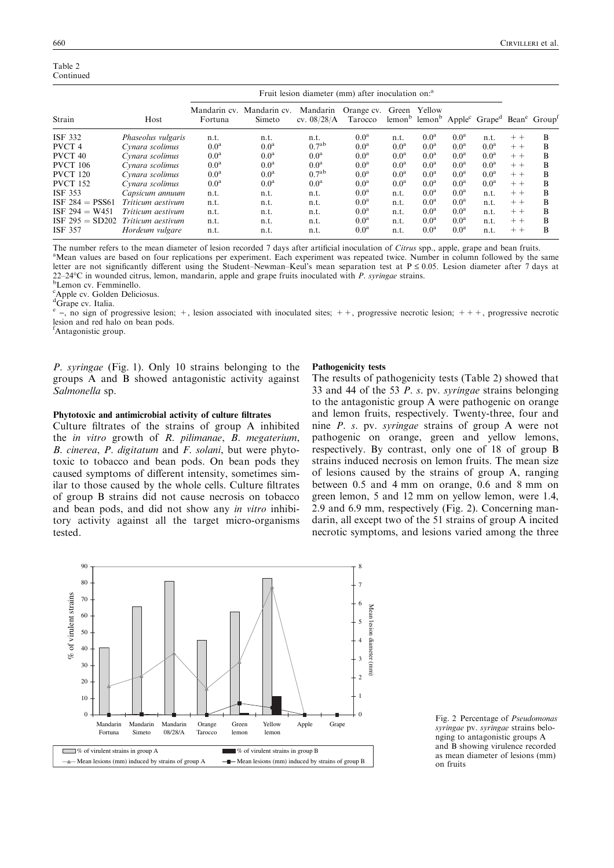#### Table 2 Continued

| Fruit lesion diameter (mm) after inoculation on: <sup>a</sup> |                           |                         |                        |                           |                       |                             |                              |                  |                  |       |                                                                            |
|---------------------------------------------------------------|---------------------------|-------------------------|------------------------|---------------------------|-----------------------|-----------------------------|------------------------------|------------------|------------------|-------|----------------------------------------------------------------------------|
| Strain                                                        | Host                      | Mandarin cv.<br>Fortuna | Mandarin cv.<br>Simeto | Mandarin<br>cv. $08/28/A$ | Orange cv.<br>Tarocco | Green<br>lemon <sup>b</sup> | Yellow<br>lemon <sup>b</sup> |                  |                  |       | Apple <sup>c</sup> Grape <sup>d</sup> Bean <sup>e</sup> Group <sup>f</sup> |
| <b>ISF 332</b>                                                | <i>Phaseolus vulgaris</i> | n.t.                    | n.t.                   | n.t.                      | 0.0 <sup>a</sup>      | n.t.                        | 0.0 <sup>a</sup>             | 0.0 <sup>a</sup> | n.t.             | $+ +$ | B                                                                          |
| PVCT <sub>4</sub>                                             | Cynara scolimus           | 0.0 <sup>a</sup>        | 0.0 <sup>a</sup>       | 0.7 <sup>ab</sup>         | 0.0 <sup>a</sup>      | 0.0 <sup>a</sup>            | 0.0 <sup>a</sup>             | 0.0 <sup>a</sup> | 0.0 <sup>a</sup> | $+ +$ | B                                                                          |
| PVCT <sub>40</sub>                                            | Cynara scolimus           | 0.0 <sup>a</sup>        | 0.0 <sup>a</sup>       | 0.0 <sup>a</sup>          | 0.0 <sup>a</sup>      | 0.0 <sup>a</sup>            | 0.0 <sup>a</sup>             | 0.0 <sup>a</sup> | 0.0 <sup>a</sup> | $+ +$ | B                                                                          |
| <b>PVCT 106</b>                                               | Cynara scolimus           | 0.0 <sup>a</sup>        | 0.0 <sup>a</sup>       | 0.0 <sup>a</sup>          | 0.0 <sup>a</sup>      | 0.0 <sup>a</sup>            | 0.0 <sup>a</sup>             | 0.0 <sup>a</sup> | 0.0 <sup>a</sup> | $++$  | B                                                                          |
| <b>PVCT 120</b>                                               | Cynara scolimus           | 0.0 <sup>a</sup>        | 0.0 <sup>a</sup>       | 0.7 <sup>ab</sup>         | 0.0 <sup>a</sup>      | 0.0 <sup>a</sup>            | 0.0 <sup>a</sup>             | 0.0 <sup>a</sup> | 0.0 <sup>a</sup> | $++$  | B                                                                          |
| <b>PVCT 152</b>                                               | Cynara scolimus           | 0.0 <sup>a</sup>        | 0.0 <sup>a</sup>       | 0.0 <sup>a</sup>          | 0.0 <sup>a</sup>      | 0.0 <sup>a</sup>            | 0.0 <sup>a</sup>             | 0.0 <sup>a</sup> | 0.0 <sup>a</sup> | $++$  | B                                                                          |
| <b>ISF 353</b>                                                | Capsicum annuum           | n.t.                    | n.t.                   | n.t.                      | 0.0 <sup>a</sup>      | n.t.                        | 0.0 <sup>a</sup>             | 0.0 <sup>a</sup> | n.t.             | $+ +$ | B                                                                          |
| ISF $284 =$ PSS61                                             | Triticum aestivum         | n.t.                    | n.t.                   | n.t.                      | 0.0 <sup>a</sup>      | n.t.                        | 0.0 <sup>a</sup>             | 0.0 <sup>a</sup> | n.t.             | $++$  | B                                                                          |
| $ISF 294 = W451$                                              | Triticum aestivum         | n.t.                    | n.t.                   | n.t.                      | 0.0 <sup>a</sup>      | n.t.                        | 0.0 <sup>a</sup>             | 0.0 <sup>a</sup> | n.t.             | $++$  | B                                                                          |
| $ISF 295 = SD202$                                             | Triticum aestivum         | n.t.                    | n.t.                   | n.t.                      | 0.0 <sup>a</sup>      | n.t.                        | 0.0 <sup>a</sup>             | 0.0 <sup>a</sup> | n.t.             | $++$  | B                                                                          |
| <b>ISF 357</b>                                                | Hordeum vulgare           | n.t.                    | n.t.                   | n.t.                      | 0.0 <sup>a</sup>      | n.t.                        | 0.0 <sup>a</sup>             | 0.0 <sup>a</sup> | n.t.             | $++$  | B                                                                          |

The number refers to the mean diameter of lesion recorded 7 days after artificial inoculation of Citrus spp., apple, grape and bean fruits. <sup>a</sup>Mean values are based on four replications per experiment. Each experiment was repeated twice. Number in column followed by the same letter are not significantly different using the Student–Newman–Keul's mean separation test at  $P \le 0.05$ . Lesion diameter after 7 days at  $22-24$ °C in wounded citrus, lemon, mandarin, apple and grape fruits inoculated with *P. syringae* strains.

<sup>b</sup>Lemon cv. Femminello.

<sup>c</sup>Apple cv. Golden Deliciosus.

<sup>d</sup>Grape cv. Italia.

 $e^{\epsilon}$ , no sign of progressive lesion; +, lesion associated with inoculated sites; ++, progressive necrotic lesion; +++, progressive necrotic lesion and red halo on bean pods.

f Antagonistic group.

P. syringae (Fig. 1). Only 10 strains belonging to the groups A and B showed antagonistic activity against Salmonella sp.

# Phytotoxic and antimicrobial activity of culture filtrates

Culture filtrates of the strains of group A inhibited the in vitro growth of  $R$ . pilimanae,  $\overline{B}$ . megaterium, B. cinerea, P. digitatum and F. solani, but were phytotoxic to tobacco and bean pods. On bean pods they caused symptoms of different intensity, sometimes similar to those caused by the whole cells. Culture filtrates of group B strains did not cause necrosis on tobacco and bean pods, and did not show any in vitro inhibitory activity against all the target micro-organisms tested.

# Pathogenicity tests

The results of pathogenicity tests (Table 2) showed that 33 and 44 of the 53  $P$ . s. pv. *syringae* strains belonging to the antagonistic group A were pathogenic on orange and lemon fruits, respectively. Twenty-three, four and nine P. s. pv. syringae strains of group A were not pathogenic on orange, green and yellow lemons, respectively. By contrast, only one of 18 of group B strains induced necrosis on lemon fruits. The mean size of lesions caused by the strains of group A, ranging between 0.5 and 4 mm on orange, 0.6 and 8 mm on green lemon, 5 and 12 mm on yellow lemon, were 1.4, 2.9 and 6.9 mm, respectively (Fig. 2). Concerning mandarin, all except two of the 51 strains of group A incited necrotic symptoms, and lesions varied among the three



Fig. 2 Percentage of Pseudomonas syringae pv. syringae strains belonging to antagonistic groups A and B showing virulence recorded as mean diameter of lesions (mm) on fruits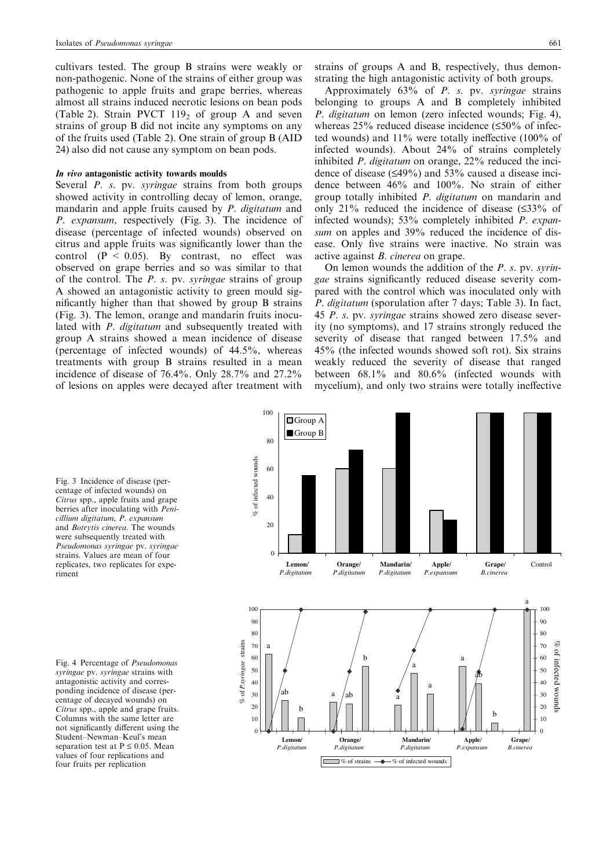cultivars tested. The group B strains were weakly or non-pathogenic. None of the strains of either group was pathogenic to apple fruits and grape berries, whereas almost all strains induced necrotic lesions on bean pods (Table 2). Strain PVCT  $119<sub>2</sub>$  of group A and seven strains of group B did not incite any symptoms on any of the fruits used (Table 2). One strain of group B (AID 24) also did not cause any symptom on bean pods.

# In vivo antagonistic activity towards moulds

Several *P. s.* pv. *syringae* strains from both groups showed activity in controlling decay of lemon, orange, mandarin and apple fruits caused by P. digitatum and P. expansum, respectively (Fig. 3). The incidence of disease (percentage of infected wounds) observed on citrus and apple fruits was significantly lower than the control  $(P < 0.05)$ . By contrast, no effect was observed on grape berries and so was similar to that of the control. The  $P$ . s. pv. syringae strains of group A showed an antagonistic activity to green mould significantly higher than that showed by group B strains (Fig. 3). The lemon, orange and mandarin fruits inoculated with *P. digitatum* and subsequently treated with group A strains showed a mean incidence of disease (percentage of infected wounds) of 44.5%, whereas treatments with group B strains resulted in a mean incidence of disease of 76.4%. Only 28.7% and 27.2% of lesions on apples were decayed after treatment with

strains of groups A and B, respectively, thus demonstrating the high antagonistic activity of both groups.

Approximately 63% of P. s. pv. syringae strains belonging to groups A and B completely inhibited P. digitatum on lemon (zero infected wounds; Fig. 4), whereas  $25\%$  reduced disease incidence ( $\leq 50\%$  of infected wounds) and 11% were totally ineffective (100% of infected wounds). About 24% of strains completely inhibited P. digitatum on orange, 22% reduced the incidence of disease  $(\leq 49\%)$  and 53% caused a disease incidence between 46% and 100%. No strain of either group totally inhibited P. digitatum on mandarin and only 21% reduced the incidence of disease  $(\leq 33\%$  of infected wounds); 53% completely inhibited P. expansum on apples and 39% reduced the incidence of disease. Only five strains were inactive. No strain was active against B. cinerea on grape.

On lemon wounds the addition of the P. s. pv. syringae strains significantly reduced disease severity compared with the control which was inoculated only with P. digitatum (sporulation after 7 days; Table 3). In fact, 45 P. s. pv. syringae strains showed zero disease severity (no symptoms), and 17 strains strongly reduced the severity of disease that ranged between 17.5% and 45% (the infected wounds showed soft rot). Six strains weakly reduced the severity of disease that ranged between 68.1% and 80.6% (infected wounds with mycelium), and only two strains were totally ineffective

Fig. 3 Incidence of disease (percentage of infected wounds) on Citrus spp., apple fruits and grape berries after inoculating with Penicillium digitatum, P. expansum and Botrytis cinerea. The wounds were subsequently treated with Pseudomonas syringae pv. syringae strains. Values are mean of four replicates, two replicates for experiment

Fig. 4 Percentage of Pseudomonas syringae pv. syringae strains with antagonistic activity and corresponding incidence of disease (percentage of decayed wounds) on Citrus spp., apple and grape fruits. Columns with the same letter are not significantly different using the Student–Newman–Keul's mean separation test at  $P \le 0.05$ . Mean values of four replications and four fruits per replication

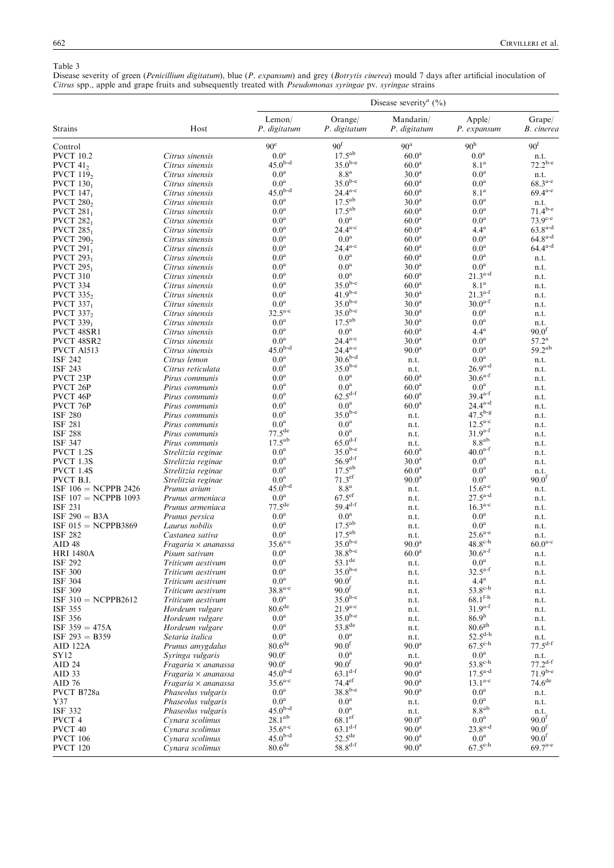#### Table 3

Disease severity of green (Penicillium digitatum), blue (P. expansum) and grey (Botrytis cinerea) mould 7 days after artificial inoculation of Citrus spp., apple and grape fruits and subsequently treated with Pseudomonas syringae pv. syringae strains

| Lemon/<br>Orange/<br>Mandarin/<br>Apple/<br>Host<br><b>Strains</b><br>P. digitatum<br>P. digitatum<br>P. digitatum<br>P. expansum<br>90 <sup>f</sup><br>90 <sup>f</sup><br>90 <sup>h</sup><br>90 <sup>e</sup><br>$90^{\rm a}$<br>Control<br>$17.5^{ab}$<br>0.0 <sup>a</sup><br>60.0 <sup>a</sup><br>0.0 <sup>a</sup><br><b>PVCT 10.2</b><br>Citrus sinensis<br>n.t.<br>$45.0^{b-d}$<br>$35.0^{b-e}$<br>8.1 <sup>a</sup><br>60.0 <sup>a</sup><br>$PVCT$ 41,<br>Citrus sinensis<br>0.0 <sup>a</sup><br>8.8 <sup>a</sup><br>0.0 <sup>a</sup><br>30.0 <sup>a</sup><br><b>PVCT</b> 119 <sub>2</sub><br>Citrus sinensis<br>0.0 <sup>a</sup><br>$35.0^{b-e}$<br>60.0 <sup>a</sup><br>0.0 <sup>a</sup><br>PVCT $130_1$<br>Citrus sinensis<br>$45.0^{b-d}$<br>$24.4^{a-c}$<br>8.1 <sup>a</sup><br>60.0 <sup>a</sup><br><b>PVCT 147</b><br>Citrus sinensis<br>0.0 <sup>a</sup><br>$17.5^{ab}$<br>30.0 <sup>a</sup><br>0.0 <sup>a</sup><br><b>PVCT 280</b> ,<br>Citrus sinensis<br>$17.5^{ab}$<br>0.0 <sup>a</sup><br>0.0 <sup>a</sup><br>60.0 <sup>a</sup><br>PVCT $281_1$<br>Citrus sinensis<br>0.0 <sup>a</sup><br>0.0 <sup>a</sup><br>0.0 <sup>a</sup><br>60.0 <sup>a</sup><br><b>PVCT 282</b><br>Citrus sinensis<br>0.0 <sup>a</sup><br>$24.4^{a-c}$<br>4.4 <sup>a</sup><br>60.0 <sup>a</sup><br>PVCT $285_1$<br>Citrus sinensis<br>0.0 <sup>a</sup><br>0.0 <sup>a</sup><br>0.0 <sup>a</sup><br>60.0 <sup>a</sup><br>PVCT $2902$<br>Citrus sinensis<br>$24.4^{a-c}$<br>0.0 <sup>a</sup><br>0.0 <sup>a</sup><br><b>PVCT 291</b><br>60.0 <sup>a</sup><br>Citrus sinensis<br>0.0 <sup>a</sup><br>0.0 <sup>a</sup><br>0.0 <sup>a</sup><br>60.0 <sup>a</sup><br>PVCT $293_1$<br>Citrus sinensis<br>$0.0^{\rm a}$<br>0.0 <sup>a</sup><br>0.0 <sup>a</sup><br>30.0 <sup>a</sup><br>PVCT $295_1$<br>Citrus sinensis<br>$21.3^{a-d}$<br>0.0 <sup>a</sup><br>0.0 <sup>a</sup><br>60.0 <sup>a</sup><br><b>PVCT 310</b><br>Citrus sinensis<br>$35.0^{b-e}$<br>0.0 <sup>a</sup><br>8.1 <sup>a</sup><br><b>PVCT 334</b><br>60.0 <sup>a</sup><br>Citrus sinensis<br>$41.9^{b-e}$<br>$21.3^{a-f}$<br>0.0 <sup>a</sup><br>30.0 <sup>a</sup><br><b>PVCT 335</b><br>Citrus sinensis<br>$35.0^{b-e}$<br>$30.0^{a-f}$<br>0.0 <sup>a</sup><br><b>PVCT 337</b><br>30.0 <sup>a</sup><br>Citrus sinensis<br>$35.0^{b-e}$<br>$32.5^{a-c}$<br>30.0 <sup>a</sup><br>0.0 <sup>a</sup><br><b>PVCT 337,</b><br>Citrus sinensis<br>$17.5^{ab}$<br>0.0 <sup>a</sup><br>$0.0^{\rm a}$<br><b>PVCT 339</b> <sub>1</sub><br>30.0 <sup>a</sup><br>Citrus sinensis<br>0.0 <sup>a</sup><br>0.0 <sup>a</sup><br>60.0 <sup>a</sup><br>4.4 <sup>a</sup><br>$90.0^{f}$<br>PVCT 48SR1<br>Citrus sinensis<br>0.0 <sup>a</sup><br>$24.4^{a-c}$<br>$0.0^{\rm a}$<br>PVCT 48SR2<br>$30.0^{\rm a}$<br>Citrus sinensis<br>$45.0^{b-d}$<br>$24.4^{a-c}$<br>0.0 <sup>a</sup><br>90.0 <sup>a</sup><br><b>PVCT A1513</b><br>Citrus sinensis<br>$30.6^{b-d}$<br>0.0 <sup>a</sup><br>0.0 <sup>a</sup><br><b>ISF 242</b><br>Citrus lemon<br>n.t.<br>$35.0^{b-e}$<br>$26.9^{a-d}$<br>$0.0^{\rm a}$<br><b>ISF 243</b><br>Citrus reticulata<br>n.t.<br>$30.6^{a-f}$<br>0.0 <sup>a</sup><br>0.0 <sup>a</sup><br>60.0 <sup>a</sup><br><b>PVCT 23P</b><br>Pirus communis<br>0.0 <sup>a</sup><br>$0.0^{\rm a}$<br>0.0 <sup>a</sup><br>60.0 <sup>a</sup><br>PVCT 26P<br>Pirus communis<br>$62.5^{\rm d\text{-}f}$<br>$39.4^{a-f}$<br>0.0 <sup>a</sup><br>60.0 <sup>a</sup><br><b>PVCT 46P</b><br>Pirus communis<br>$24.4^{a-d}$<br>0.0 <sup>a</sup><br>0.0 <sup>a</sup><br>60.0 <sup>a</sup><br><b>PVCT 76P</b><br>Pirus communis<br>$35.0^{b-e}$<br>$47.5^{b-g}$<br><b>ISF 280</b><br>0.0 <sup>a</sup><br>Pirus communis<br>n.t.<br>n.t.<br>0.0 <sup>a</sup><br>0.0 <sup>a</sup><br>$12.5^{a-c}$<br><b>ISF 281</b><br>Pirus communis<br>n.t.<br>n.t.<br>77.5 <sup>de</sup><br>$31.9^{a-f}$<br>0.0 <sup>a</sup><br><b>ISF 288</b><br>Pirus communis<br>n.t.<br>n.t.<br>$65.0$ <sup>d-f</sup><br>$8.8^{\rm ab}$<br>$17.5^{ab}$<br><b>ISF 347</b><br>Pirus communis<br>n.t.<br>n.t.<br>$35.0^{b-e}$<br>0.0 <sup>a</sup><br>$40.0^{a-f}$<br><b>PVCT 1.2S</b><br>60.0 <sup>a</sup><br>Strelitzia reginae<br>n.t.<br>$56.9^{d-f}$<br>0.0 <sup>a</sup><br>30.0 <sup>a</sup><br>0.0 <sup>a</sup><br><b>PVCT 1.3S</b><br>Strelitzia reginae<br>n.t.<br>$17.5^{\rm ab}$<br>0.0 <sup>a</sup><br><b>PVCT 1.4S</b><br>$60.0^{\rm a}$<br>0.0 <sup>a</sup><br>Strelitzia reginae<br>n.t.<br>71.3 <sup>ef</sup><br>0.0 <sup>a</sup><br>$0.0^{\mathrm{a}}$<br>90.0 <sup>a</sup><br>$90.0^{\text{t}}$<br><b>PVCT B.I.</b><br>Strelitzia reginae<br>$45.0^{\rm b\text{-}d}$<br>$15.6^{a-c}$<br>8.8 <sup>a</sup><br>ISF $106 = NCPPB 2426$<br>Prunus avium<br>n.t.<br>n.t.<br>$67.5$ <sup>ef</sup><br>0.0 <sup>a</sup><br>$27.5^{a-d}$<br>ISF $107 = NCPPB$ 1093<br>Prunus armeniaca<br>n.t.<br>n.t.<br>77.5 <sup>de</sup><br>$59.4^{d-f}$<br>$16.3^{a-c}$<br><b>ISF 231</b><br>Prunus armeniaca<br>n.t.<br>n.t.<br>0.0 <sup>a</sup><br>0.0 <sup>a</sup><br>ISF $290 = B3A$<br>$0.0^{\rm a}$<br>Prunus persica<br>n.t.<br>n.t.<br>$17.5^{ab}$<br>ISF $015 = NCPPB3869$<br>0.0 <sup>a</sup><br>$0.0^{\rm a}$<br>Laurus nobilis<br>n.t.<br>n.t.<br>$17.5^{ab}$<br>$25.6^{a-e}$<br>0.0 <sup>a</sup><br><b>ISF 282</b><br>Castanea sativa<br>n.t.<br>n.t.<br>$35.0^{b-e}$<br>$48.8^{\rm c\text{-}h}$<br>$35.6^{a-c}$<br>$60.0^{\mathrm{a-c}}$<br>90.0 <sup>a</sup><br>AID <sub>48</sub><br>$Fragaria \times ananassa$<br>$38.8^{b-e}$<br>$30.6^{a-f}$<br>0.0 <sup>a</sup><br>60.0 <sup>a</sup><br><b>HRI 1480A</b><br>Pisum sativum<br>n.t.<br>$53.1^\text{de}$<br>ISF 292<br>Triticum aestivum<br>0.0 <sup>a</sup><br>n.t.<br>$0.0^{\rm a}$<br>n.t.<br>$35.0^{b-e}$<br>$32.5^{a-f}$<br>0.0 <sup>a</sup><br><b>ISF 300</b><br>Triticum aestivum<br>n.t.<br>n.t.<br>$4.4^{\rm a}$<br>0.0 <sup>a</sup><br>90.0 <sup>f</sup><br><b>ISF 304</b><br>Triticum aestivum<br>n.t.<br>n.t.<br>$53.8^{\text{c-h}}$<br>$38.8^{a-c}$<br>90.0 <sup>f</sup><br><b>ISF 309</b><br>Triticum aestivum<br>n.t.<br>n.t. |  | Disease severity <sup>a</sup> $(\% )$ |  |  |                         |                      |  |  |  |
|------------------------------------------------------------------------------------------------------------------------------------------------------------------------------------------------------------------------------------------------------------------------------------------------------------------------------------------------------------------------------------------------------------------------------------------------------------------------------------------------------------------------------------------------------------------------------------------------------------------------------------------------------------------------------------------------------------------------------------------------------------------------------------------------------------------------------------------------------------------------------------------------------------------------------------------------------------------------------------------------------------------------------------------------------------------------------------------------------------------------------------------------------------------------------------------------------------------------------------------------------------------------------------------------------------------------------------------------------------------------------------------------------------------------------------------------------------------------------------------------------------------------------------------------------------------------------------------------------------------------------------------------------------------------------------------------------------------------------------------------------------------------------------------------------------------------------------------------------------------------------------------------------------------------------------------------------------------------------------------------------------------------------------------------------------------------------------------------------------------------------------------------------------------------------------------------------------------------------------------------------------------------------------------------------------------------------------------------------------------------------------------------------------------------------------------------------------------------------------------------------------------------------------------------------------------------------------------------------------------------------------------------------------------------------------------------------------------------------------------------------------------------------------------------------------------------------------------------------------------------------------------------------------------------------------------------------------------------------------------------------------------------------------------------------------------------------------------------------------------------------------------------------------------------------------------------------------------------------------------------------------------------------------------------------------------------------------------------------------------------------------------------------------------------------------------------------------------------------------------------------------------------------------------------------------------------------------------------------------------------------------------------------------------------------------------------------------------------------------------------------------------------------------------------------------------------------------------------------------------------------------------------------------------------------------------------------------------------------------------------------------------------------------------------------------------------------------------------------------------------------------------------------------------------------------------------------------------------------------------------------------------------------------------------------------------------------------------------------------------------------------------------------------------------------------------------------------------------------------------------------------------------------------------------------------------------------------------------------------------------------------------------------------------------------------------------------------------------------------------------------------------------------------------------------------------------------------------------------------------------------------------------------------------------------------------------------------------------------------------------------------------------------------------------------------------------------------------------------------------------------------------------------------------------------------------------------------------------------------------------------------------------------------------------------------------------------------------------------------------------------------------------------------------------------------------------------------------------------------------------------------------------------------------------------------------------------------------------------------------------------------------------------------------------------------------------------------------------------------------------------------------------------------------------------------------------------------------------------------------------------------------------------------------------------------------------------------------------------------------------------|--|---------------------------------------|--|--|-------------------------|----------------------|--|--|--|
|                                                                                                                                                                                                                                                                                                                                                                                                                                                                                                                                                                                                                                                                                                                                                                                                                                                                                                                                                                                                                                                                                                                                                                                                                                                                                                                                                                                                                                                                                                                                                                                                                                                                                                                                                                                                                                                                                                                                                                                                                                                                                                                                                                                                                                                                                                                                                                                                                                                                                                                                                                                                                                                                                                                                                                                                                                                                                                                                                                                                                                                                                                                                                                                                                                                                                                                                                                                                                                                                                                                                                                                                                                                                                                                                                                                                                                                                                                                                                                                                                                                                                                                                                                                                                                                                                                                                                                                                                                                                                                                                                                                                                                                                                                                                                                                                                                                                                                                                                                                                                                                                                                                                                                                                                                                                                                                                                                                                                                                                                                                                                                                                                                                                                                                                                                                                                                                                                                                                                                                                      |  |                                       |  |  |                         | Grape/<br>B. cinerea |  |  |  |
|                                                                                                                                                                                                                                                                                                                                                                                                                                                                                                                                                                                                                                                                                                                                                                                                                                                                                                                                                                                                                                                                                                                                                                                                                                                                                                                                                                                                                                                                                                                                                                                                                                                                                                                                                                                                                                                                                                                                                                                                                                                                                                                                                                                                                                                                                                                                                                                                                                                                                                                                                                                                                                                                                                                                                                                                                                                                                                                                                                                                                                                                                                                                                                                                                                                                                                                                                                                                                                                                                                                                                                                                                                                                                                                                                                                                                                                                                                                                                                                                                                                                                                                                                                                                                                                                                                                                                                                                                                                                                                                                                                                                                                                                                                                                                                                                                                                                                                                                                                                                                                                                                                                                                                                                                                                                                                                                                                                                                                                                                                                                                                                                                                                                                                                                                                                                                                                                                                                                                                                                      |  |                                       |  |  |                         |                      |  |  |  |
|                                                                                                                                                                                                                                                                                                                                                                                                                                                                                                                                                                                                                                                                                                                                                                                                                                                                                                                                                                                                                                                                                                                                                                                                                                                                                                                                                                                                                                                                                                                                                                                                                                                                                                                                                                                                                                                                                                                                                                                                                                                                                                                                                                                                                                                                                                                                                                                                                                                                                                                                                                                                                                                                                                                                                                                                                                                                                                                                                                                                                                                                                                                                                                                                                                                                                                                                                                                                                                                                                                                                                                                                                                                                                                                                                                                                                                                                                                                                                                                                                                                                                                                                                                                                                                                                                                                                                                                                                                                                                                                                                                                                                                                                                                                                                                                                                                                                                                                                                                                                                                                                                                                                                                                                                                                                                                                                                                                                                                                                                                                                                                                                                                                                                                                                                                                                                                                                                                                                                                                                      |  |                                       |  |  |                         |                      |  |  |  |
|                                                                                                                                                                                                                                                                                                                                                                                                                                                                                                                                                                                                                                                                                                                                                                                                                                                                                                                                                                                                                                                                                                                                                                                                                                                                                                                                                                                                                                                                                                                                                                                                                                                                                                                                                                                                                                                                                                                                                                                                                                                                                                                                                                                                                                                                                                                                                                                                                                                                                                                                                                                                                                                                                                                                                                                                                                                                                                                                                                                                                                                                                                                                                                                                                                                                                                                                                                                                                                                                                                                                                                                                                                                                                                                                                                                                                                                                                                                                                                                                                                                                                                                                                                                                                                                                                                                                                                                                                                                                                                                                                                                                                                                                                                                                                                                                                                                                                                                                                                                                                                                                                                                                                                                                                                                                                                                                                                                                                                                                                                                                                                                                                                                                                                                                                                                                                                                                                                                                                                                                      |  |                                       |  |  |                         | $72.2^{b-e}$         |  |  |  |
|                                                                                                                                                                                                                                                                                                                                                                                                                                                                                                                                                                                                                                                                                                                                                                                                                                                                                                                                                                                                                                                                                                                                                                                                                                                                                                                                                                                                                                                                                                                                                                                                                                                                                                                                                                                                                                                                                                                                                                                                                                                                                                                                                                                                                                                                                                                                                                                                                                                                                                                                                                                                                                                                                                                                                                                                                                                                                                                                                                                                                                                                                                                                                                                                                                                                                                                                                                                                                                                                                                                                                                                                                                                                                                                                                                                                                                                                                                                                                                                                                                                                                                                                                                                                                                                                                                                                                                                                                                                                                                                                                                                                                                                                                                                                                                                                                                                                                                                                                                                                                                                                                                                                                                                                                                                                                                                                                                                                                                                                                                                                                                                                                                                                                                                                                                                                                                                                                                                                                                                                      |  |                                       |  |  |                         | n.t.                 |  |  |  |
|                                                                                                                                                                                                                                                                                                                                                                                                                                                                                                                                                                                                                                                                                                                                                                                                                                                                                                                                                                                                                                                                                                                                                                                                                                                                                                                                                                                                                                                                                                                                                                                                                                                                                                                                                                                                                                                                                                                                                                                                                                                                                                                                                                                                                                                                                                                                                                                                                                                                                                                                                                                                                                                                                                                                                                                                                                                                                                                                                                                                                                                                                                                                                                                                                                                                                                                                                                                                                                                                                                                                                                                                                                                                                                                                                                                                                                                                                                                                                                                                                                                                                                                                                                                                                                                                                                                                                                                                                                                                                                                                                                                                                                                                                                                                                                                                                                                                                                                                                                                                                                                                                                                                                                                                                                                                                                                                                                                                                                                                                                                                                                                                                                                                                                                                                                                                                                                                                                                                                                                                      |  |                                       |  |  |                         | $68.3^{a-e}$         |  |  |  |
|                                                                                                                                                                                                                                                                                                                                                                                                                                                                                                                                                                                                                                                                                                                                                                                                                                                                                                                                                                                                                                                                                                                                                                                                                                                                                                                                                                                                                                                                                                                                                                                                                                                                                                                                                                                                                                                                                                                                                                                                                                                                                                                                                                                                                                                                                                                                                                                                                                                                                                                                                                                                                                                                                                                                                                                                                                                                                                                                                                                                                                                                                                                                                                                                                                                                                                                                                                                                                                                                                                                                                                                                                                                                                                                                                                                                                                                                                                                                                                                                                                                                                                                                                                                                                                                                                                                                                                                                                                                                                                                                                                                                                                                                                                                                                                                                                                                                                                                                                                                                                                                                                                                                                                                                                                                                                                                                                                                                                                                                                                                                                                                                                                                                                                                                                                                                                                                                                                                                                                                                      |  |                                       |  |  |                         | $69.4^{a-e}$         |  |  |  |
|                                                                                                                                                                                                                                                                                                                                                                                                                                                                                                                                                                                                                                                                                                                                                                                                                                                                                                                                                                                                                                                                                                                                                                                                                                                                                                                                                                                                                                                                                                                                                                                                                                                                                                                                                                                                                                                                                                                                                                                                                                                                                                                                                                                                                                                                                                                                                                                                                                                                                                                                                                                                                                                                                                                                                                                                                                                                                                                                                                                                                                                                                                                                                                                                                                                                                                                                                                                                                                                                                                                                                                                                                                                                                                                                                                                                                                                                                                                                                                                                                                                                                                                                                                                                                                                                                                                                                                                                                                                                                                                                                                                                                                                                                                                                                                                                                                                                                                                                                                                                                                                                                                                                                                                                                                                                                                                                                                                                                                                                                                                                                                                                                                                                                                                                                                                                                                                                                                                                                                                                      |  |                                       |  |  |                         | n.t.                 |  |  |  |
|                                                                                                                                                                                                                                                                                                                                                                                                                                                                                                                                                                                                                                                                                                                                                                                                                                                                                                                                                                                                                                                                                                                                                                                                                                                                                                                                                                                                                                                                                                                                                                                                                                                                                                                                                                                                                                                                                                                                                                                                                                                                                                                                                                                                                                                                                                                                                                                                                                                                                                                                                                                                                                                                                                                                                                                                                                                                                                                                                                                                                                                                                                                                                                                                                                                                                                                                                                                                                                                                                                                                                                                                                                                                                                                                                                                                                                                                                                                                                                                                                                                                                                                                                                                                                                                                                                                                                                                                                                                                                                                                                                                                                                                                                                                                                                                                                                                                                                                                                                                                                                                                                                                                                                                                                                                                                                                                                                                                                                                                                                                                                                                                                                                                                                                                                                                                                                                                                                                                                                                                      |  |                                       |  |  |                         | $71.4^{b-e}$         |  |  |  |
|                                                                                                                                                                                                                                                                                                                                                                                                                                                                                                                                                                                                                                                                                                                                                                                                                                                                                                                                                                                                                                                                                                                                                                                                                                                                                                                                                                                                                                                                                                                                                                                                                                                                                                                                                                                                                                                                                                                                                                                                                                                                                                                                                                                                                                                                                                                                                                                                                                                                                                                                                                                                                                                                                                                                                                                                                                                                                                                                                                                                                                                                                                                                                                                                                                                                                                                                                                                                                                                                                                                                                                                                                                                                                                                                                                                                                                                                                                                                                                                                                                                                                                                                                                                                                                                                                                                                                                                                                                                                                                                                                                                                                                                                                                                                                                                                                                                                                                                                                                                                                                                                                                                                                                                                                                                                                                                                                                                                                                                                                                                                                                                                                                                                                                                                                                                                                                                                                                                                                                                                      |  |                                       |  |  |                         | $73.9^{c-e}$         |  |  |  |
|                                                                                                                                                                                                                                                                                                                                                                                                                                                                                                                                                                                                                                                                                                                                                                                                                                                                                                                                                                                                                                                                                                                                                                                                                                                                                                                                                                                                                                                                                                                                                                                                                                                                                                                                                                                                                                                                                                                                                                                                                                                                                                                                                                                                                                                                                                                                                                                                                                                                                                                                                                                                                                                                                                                                                                                                                                                                                                                                                                                                                                                                                                                                                                                                                                                                                                                                                                                                                                                                                                                                                                                                                                                                                                                                                                                                                                                                                                                                                                                                                                                                                                                                                                                                                                                                                                                                                                                                                                                                                                                                                                                                                                                                                                                                                                                                                                                                                                                                                                                                                                                                                                                                                                                                                                                                                                                                                                                                                                                                                                                                                                                                                                                                                                                                                                                                                                                                                                                                                                                                      |  |                                       |  |  |                         | $63.8^{a-d}$         |  |  |  |
|                                                                                                                                                                                                                                                                                                                                                                                                                                                                                                                                                                                                                                                                                                                                                                                                                                                                                                                                                                                                                                                                                                                                                                                                                                                                                                                                                                                                                                                                                                                                                                                                                                                                                                                                                                                                                                                                                                                                                                                                                                                                                                                                                                                                                                                                                                                                                                                                                                                                                                                                                                                                                                                                                                                                                                                                                                                                                                                                                                                                                                                                                                                                                                                                                                                                                                                                                                                                                                                                                                                                                                                                                                                                                                                                                                                                                                                                                                                                                                                                                                                                                                                                                                                                                                                                                                                                                                                                                                                                                                                                                                                                                                                                                                                                                                                                                                                                                                                                                                                                                                                                                                                                                                                                                                                                                                                                                                                                                                                                                                                                                                                                                                                                                                                                                                                                                                                                                                                                                                                                      |  |                                       |  |  |                         | $64.8^{a-d}$         |  |  |  |
|                                                                                                                                                                                                                                                                                                                                                                                                                                                                                                                                                                                                                                                                                                                                                                                                                                                                                                                                                                                                                                                                                                                                                                                                                                                                                                                                                                                                                                                                                                                                                                                                                                                                                                                                                                                                                                                                                                                                                                                                                                                                                                                                                                                                                                                                                                                                                                                                                                                                                                                                                                                                                                                                                                                                                                                                                                                                                                                                                                                                                                                                                                                                                                                                                                                                                                                                                                                                                                                                                                                                                                                                                                                                                                                                                                                                                                                                                                                                                                                                                                                                                                                                                                                                                                                                                                                                                                                                                                                                                                                                                                                                                                                                                                                                                                                                                                                                                                                                                                                                                                                                                                                                                                                                                                                                                                                                                                                                                                                                                                                                                                                                                                                                                                                                                                                                                                                                                                                                                                                                      |  |                                       |  |  |                         | $64.4^{a-d}$         |  |  |  |
|                                                                                                                                                                                                                                                                                                                                                                                                                                                                                                                                                                                                                                                                                                                                                                                                                                                                                                                                                                                                                                                                                                                                                                                                                                                                                                                                                                                                                                                                                                                                                                                                                                                                                                                                                                                                                                                                                                                                                                                                                                                                                                                                                                                                                                                                                                                                                                                                                                                                                                                                                                                                                                                                                                                                                                                                                                                                                                                                                                                                                                                                                                                                                                                                                                                                                                                                                                                                                                                                                                                                                                                                                                                                                                                                                                                                                                                                                                                                                                                                                                                                                                                                                                                                                                                                                                                                                                                                                                                                                                                                                                                                                                                                                                                                                                                                                                                                                                                                                                                                                                                                                                                                                                                                                                                                                                                                                                                                                                                                                                                                                                                                                                                                                                                                                                                                                                                                                                                                                                                                      |  |                                       |  |  |                         | n.t.                 |  |  |  |
|                                                                                                                                                                                                                                                                                                                                                                                                                                                                                                                                                                                                                                                                                                                                                                                                                                                                                                                                                                                                                                                                                                                                                                                                                                                                                                                                                                                                                                                                                                                                                                                                                                                                                                                                                                                                                                                                                                                                                                                                                                                                                                                                                                                                                                                                                                                                                                                                                                                                                                                                                                                                                                                                                                                                                                                                                                                                                                                                                                                                                                                                                                                                                                                                                                                                                                                                                                                                                                                                                                                                                                                                                                                                                                                                                                                                                                                                                                                                                                                                                                                                                                                                                                                                                                                                                                                                                                                                                                                                                                                                                                                                                                                                                                                                                                                                                                                                                                                                                                                                                                                                                                                                                                                                                                                                                                                                                                                                                                                                                                                                                                                                                                                                                                                                                                                                                                                                                                                                                                                                      |  |                                       |  |  |                         | n.t.                 |  |  |  |
|                                                                                                                                                                                                                                                                                                                                                                                                                                                                                                                                                                                                                                                                                                                                                                                                                                                                                                                                                                                                                                                                                                                                                                                                                                                                                                                                                                                                                                                                                                                                                                                                                                                                                                                                                                                                                                                                                                                                                                                                                                                                                                                                                                                                                                                                                                                                                                                                                                                                                                                                                                                                                                                                                                                                                                                                                                                                                                                                                                                                                                                                                                                                                                                                                                                                                                                                                                                                                                                                                                                                                                                                                                                                                                                                                                                                                                                                                                                                                                                                                                                                                                                                                                                                                                                                                                                                                                                                                                                                                                                                                                                                                                                                                                                                                                                                                                                                                                                                                                                                                                                                                                                                                                                                                                                                                                                                                                                                                                                                                                                                                                                                                                                                                                                                                                                                                                                                                                                                                                                                      |  |                                       |  |  |                         | n.t.                 |  |  |  |
|                                                                                                                                                                                                                                                                                                                                                                                                                                                                                                                                                                                                                                                                                                                                                                                                                                                                                                                                                                                                                                                                                                                                                                                                                                                                                                                                                                                                                                                                                                                                                                                                                                                                                                                                                                                                                                                                                                                                                                                                                                                                                                                                                                                                                                                                                                                                                                                                                                                                                                                                                                                                                                                                                                                                                                                                                                                                                                                                                                                                                                                                                                                                                                                                                                                                                                                                                                                                                                                                                                                                                                                                                                                                                                                                                                                                                                                                                                                                                                                                                                                                                                                                                                                                                                                                                                                                                                                                                                                                                                                                                                                                                                                                                                                                                                                                                                                                                                                                                                                                                                                                                                                                                                                                                                                                                                                                                                                                                                                                                                                                                                                                                                                                                                                                                                                                                                                                                                                                                                                                      |  |                                       |  |  |                         | n.t.                 |  |  |  |
|                                                                                                                                                                                                                                                                                                                                                                                                                                                                                                                                                                                                                                                                                                                                                                                                                                                                                                                                                                                                                                                                                                                                                                                                                                                                                                                                                                                                                                                                                                                                                                                                                                                                                                                                                                                                                                                                                                                                                                                                                                                                                                                                                                                                                                                                                                                                                                                                                                                                                                                                                                                                                                                                                                                                                                                                                                                                                                                                                                                                                                                                                                                                                                                                                                                                                                                                                                                                                                                                                                                                                                                                                                                                                                                                                                                                                                                                                                                                                                                                                                                                                                                                                                                                                                                                                                                                                                                                                                                                                                                                                                                                                                                                                                                                                                                                                                                                                                                                                                                                                                                                                                                                                                                                                                                                                                                                                                                                                                                                                                                                                                                                                                                                                                                                                                                                                                                                                                                                                                                                      |  |                                       |  |  |                         | n.t.                 |  |  |  |
|                                                                                                                                                                                                                                                                                                                                                                                                                                                                                                                                                                                                                                                                                                                                                                                                                                                                                                                                                                                                                                                                                                                                                                                                                                                                                                                                                                                                                                                                                                                                                                                                                                                                                                                                                                                                                                                                                                                                                                                                                                                                                                                                                                                                                                                                                                                                                                                                                                                                                                                                                                                                                                                                                                                                                                                                                                                                                                                                                                                                                                                                                                                                                                                                                                                                                                                                                                                                                                                                                                                                                                                                                                                                                                                                                                                                                                                                                                                                                                                                                                                                                                                                                                                                                                                                                                                                                                                                                                                                                                                                                                                                                                                                                                                                                                                                                                                                                                                                                                                                                                                                                                                                                                                                                                                                                                                                                                                                                                                                                                                                                                                                                                                                                                                                                                                                                                                                                                                                                                                                      |  |                                       |  |  |                         | n.t.                 |  |  |  |
|                                                                                                                                                                                                                                                                                                                                                                                                                                                                                                                                                                                                                                                                                                                                                                                                                                                                                                                                                                                                                                                                                                                                                                                                                                                                                                                                                                                                                                                                                                                                                                                                                                                                                                                                                                                                                                                                                                                                                                                                                                                                                                                                                                                                                                                                                                                                                                                                                                                                                                                                                                                                                                                                                                                                                                                                                                                                                                                                                                                                                                                                                                                                                                                                                                                                                                                                                                                                                                                                                                                                                                                                                                                                                                                                                                                                                                                                                                                                                                                                                                                                                                                                                                                                                                                                                                                                                                                                                                                                                                                                                                                                                                                                                                                                                                                                                                                                                                                                                                                                                                                                                                                                                                                                                                                                                                                                                                                                                                                                                                                                                                                                                                                                                                                                                                                                                                                                                                                                                                                                      |  |                                       |  |  |                         | n.t.                 |  |  |  |
|                                                                                                                                                                                                                                                                                                                                                                                                                                                                                                                                                                                                                                                                                                                                                                                                                                                                                                                                                                                                                                                                                                                                                                                                                                                                                                                                                                                                                                                                                                                                                                                                                                                                                                                                                                                                                                                                                                                                                                                                                                                                                                                                                                                                                                                                                                                                                                                                                                                                                                                                                                                                                                                                                                                                                                                                                                                                                                                                                                                                                                                                                                                                                                                                                                                                                                                                                                                                                                                                                                                                                                                                                                                                                                                                                                                                                                                                                                                                                                                                                                                                                                                                                                                                                                                                                                                                                                                                                                                                                                                                                                                                                                                                                                                                                                                                                                                                                                                                                                                                                                                                                                                                                                                                                                                                                                                                                                                                                                                                                                                                                                                                                                                                                                                                                                                                                                                                                                                                                                                                      |  |                                       |  |  |                         | n.t.                 |  |  |  |
|                                                                                                                                                                                                                                                                                                                                                                                                                                                                                                                                                                                                                                                                                                                                                                                                                                                                                                                                                                                                                                                                                                                                                                                                                                                                                                                                                                                                                                                                                                                                                                                                                                                                                                                                                                                                                                                                                                                                                                                                                                                                                                                                                                                                                                                                                                                                                                                                                                                                                                                                                                                                                                                                                                                                                                                                                                                                                                                                                                                                                                                                                                                                                                                                                                                                                                                                                                                                                                                                                                                                                                                                                                                                                                                                                                                                                                                                                                                                                                                                                                                                                                                                                                                                                                                                                                                                                                                                                                                                                                                                                                                                                                                                                                                                                                                                                                                                                                                                                                                                                                                                                                                                                                                                                                                                                                                                                                                                                                                                                                                                                                                                                                                                                                                                                                                                                                                                                                                                                                                                      |  |                                       |  |  |                         |                      |  |  |  |
|                                                                                                                                                                                                                                                                                                                                                                                                                                                                                                                                                                                                                                                                                                                                                                                                                                                                                                                                                                                                                                                                                                                                                                                                                                                                                                                                                                                                                                                                                                                                                                                                                                                                                                                                                                                                                                                                                                                                                                                                                                                                                                                                                                                                                                                                                                                                                                                                                                                                                                                                                                                                                                                                                                                                                                                                                                                                                                                                                                                                                                                                                                                                                                                                                                                                                                                                                                                                                                                                                                                                                                                                                                                                                                                                                                                                                                                                                                                                                                                                                                                                                                                                                                                                                                                                                                                                                                                                                                                                                                                                                                                                                                                                                                                                                                                                                                                                                                                                                                                                                                                                                                                                                                                                                                                                                                                                                                                                                                                                                                                                                                                                                                                                                                                                                                                                                                                                                                                                                                                                      |  |                                       |  |  |                         | $57.2^{\rm a}$       |  |  |  |
|                                                                                                                                                                                                                                                                                                                                                                                                                                                                                                                                                                                                                                                                                                                                                                                                                                                                                                                                                                                                                                                                                                                                                                                                                                                                                                                                                                                                                                                                                                                                                                                                                                                                                                                                                                                                                                                                                                                                                                                                                                                                                                                                                                                                                                                                                                                                                                                                                                                                                                                                                                                                                                                                                                                                                                                                                                                                                                                                                                                                                                                                                                                                                                                                                                                                                                                                                                                                                                                                                                                                                                                                                                                                                                                                                                                                                                                                                                                                                                                                                                                                                                                                                                                                                                                                                                                                                                                                                                                                                                                                                                                                                                                                                                                                                                                                                                                                                                                                                                                                                                                                                                                                                                                                                                                                                                                                                                                                                                                                                                                                                                                                                                                                                                                                                                                                                                                                                                                                                                                                      |  |                                       |  |  |                         | $59.2^{ab}$          |  |  |  |
|                                                                                                                                                                                                                                                                                                                                                                                                                                                                                                                                                                                                                                                                                                                                                                                                                                                                                                                                                                                                                                                                                                                                                                                                                                                                                                                                                                                                                                                                                                                                                                                                                                                                                                                                                                                                                                                                                                                                                                                                                                                                                                                                                                                                                                                                                                                                                                                                                                                                                                                                                                                                                                                                                                                                                                                                                                                                                                                                                                                                                                                                                                                                                                                                                                                                                                                                                                                                                                                                                                                                                                                                                                                                                                                                                                                                                                                                                                                                                                                                                                                                                                                                                                                                                                                                                                                                                                                                                                                                                                                                                                                                                                                                                                                                                                                                                                                                                                                                                                                                                                                                                                                                                                                                                                                                                                                                                                                                                                                                                                                                                                                                                                                                                                                                                                                                                                                                                                                                                                                                      |  |                                       |  |  |                         | n.t.                 |  |  |  |
|                                                                                                                                                                                                                                                                                                                                                                                                                                                                                                                                                                                                                                                                                                                                                                                                                                                                                                                                                                                                                                                                                                                                                                                                                                                                                                                                                                                                                                                                                                                                                                                                                                                                                                                                                                                                                                                                                                                                                                                                                                                                                                                                                                                                                                                                                                                                                                                                                                                                                                                                                                                                                                                                                                                                                                                                                                                                                                                                                                                                                                                                                                                                                                                                                                                                                                                                                                                                                                                                                                                                                                                                                                                                                                                                                                                                                                                                                                                                                                                                                                                                                                                                                                                                                                                                                                                                                                                                                                                                                                                                                                                                                                                                                                                                                                                                                                                                                                                                                                                                                                                                                                                                                                                                                                                                                                                                                                                                                                                                                                                                                                                                                                                                                                                                                                                                                                                                                                                                                                                                      |  |                                       |  |  |                         | n.t.                 |  |  |  |
|                                                                                                                                                                                                                                                                                                                                                                                                                                                                                                                                                                                                                                                                                                                                                                                                                                                                                                                                                                                                                                                                                                                                                                                                                                                                                                                                                                                                                                                                                                                                                                                                                                                                                                                                                                                                                                                                                                                                                                                                                                                                                                                                                                                                                                                                                                                                                                                                                                                                                                                                                                                                                                                                                                                                                                                                                                                                                                                                                                                                                                                                                                                                                                                                                                                                                                                                                                                                                                                                                                                                                                                                                                                                                                                                                                                                                                                                                                                                                                                                                                                                                                                                                                                                                                                                                                                                                                                                                                                                                                                                                                                                                                                                                                                                                                                                                                                                                                                                                                                                                                                                                                                                                                                                                                                                                                                                                                                                                                                                                                                                                                                                                                                                                                                                                                                                                                                                                                                                                                                                      |  |                                       |  |  |                         | n.t.                 |  |  |  |
|                                                                                                                                                                                                                                                                                                                                                                                                                                                                                                                                                                                                                                                                                                                                                                                                                                                                                                                                                                                                                                                                                                                                                                                                                                                                                                                                                                                                                                                                                                                                                                                                                                                                                                                                                                                                                                                                                                                                                                                                                                                                                                                                                                                                                                                                                                                                                                                                                                                                                                                                                                                                                                                                                                                                                                                                                                                                                                                                                                                                                                                                                                                                                                                                                                                                                                                                                                                                                                                                                                                                                                                                                                                                                                                                                                                                                                                                                                                                                                                                                                                                                                                                                                                                                                                                                                                                                                                                                                                                                                                                                                                                                                                                                                                                                                                                                                                                                                                                                                                                                                                                                                                                                                                                                                                                                                                                                                                                                                                                                                                                                                                                                                                                                                                                                                                                                                                                                                                                                                                                      |  |                                       |  |  |                         | n.t.                 |  |  |  |
|                                                                                                                                                                                                                                                                                                                                                                                                                                                                                                                                                                                                                                                                                                                                                                                                                                                                                                                                                                                                                                                                                                                                                                                                                                                                                                                                                                                                                                                                                                                                                                                                                                                                                                                                                                                                                                                                                                                                                                                                                                                                                                                                                                                                                                                                                                                                                                                                                                                                                                                                                                                                                                                                                                                                                                                                                                                                                                                                                                                                                                                                                                                                                                                                                                                                                                                                                                                                                                                                                                                                                                                                                                                                                                                                                                                                                                                                                                                                                                                                                                                                                                                                                                                                                                                                                                                                                                                                                                                                                                                                                                                                                                                                                                                                                                                                                                                                                                                                                                                                                                                                                                                                                                                                                                                                                                                                                                                                                                                                                                                                                                                                                                                                                                                                                                                                                                                                                                                                                                                                      |  |                                       |  |  |                         | n.t.                 |  |  |  |
|                                                                                                                                                                                                                                                                                                                                                                                                                                                                                                                                                                                                                                                                                                                                                                                                                                                                                                                                                                                                                                                                                                                                                                                                                                                                                                                                                                                                                                                                                                                                                                                                                                                                                                                                                                                                                                                                                                                                                                                                                                                                                                                                                                                                                                                                                                                                                                                                                                                                                                                                                                                                                                                                                                                                                                                                                                                                                                                                                                                                                                                                                                                                                                                                                                                                                                                                                                                                                                                                                                                                                                                                                                                                                                                                                                                                                                                                                                                                                                                                                                                                                                                                                                                                                                                                                                                                                                                                                                                                                                                                                                                                                                                                                                                                                                                                                                                                                                                                                                                                                                                                                                                                                                                                                                                                                                                                                                                                                                                                                                                                                                                                                                                                                                                                                                                                                                                                                                                                                                                                      |  |                                       |  |  |                         | n.t.                 |  |  |  |
|                                                                                                                                                                                                                                                                                                                                                                                                                                                                                                                                                                                                                                                                                                                                                                                                                                                                                                                                                                                                                                                                                                                                                                                                                                                                                                                                                                                                                                                                                                                                                                                                                                                                                                                                                                                                                                                                                                                                                                                                                                                                                                                                                                                                                                                                                                                                                                                                                                                                                                                                                                                                                                                                                                                                                                                                                                                                                                                                                                                                                                                                                                                                                                                                                                                                                                                                                                                                                                                                                                                                                                                                                                                                                                                                                                                                                                                                                                                                                                                                                                                                                                                                                                                                                                                                                                                                                                                                                                                                                                                                                                                                                                                                                                                                                                                                                                                                                                                                                                                                                                                                                                                                                                                                                                                                                                                                                                                                                                                                                                                                                                                                                                                                                                                                                                                                                                                                                                                                                                                                      |  |                                       |  |  |                         |                      |  |  |  |
|                                                                                                                                                                                                                                                                                                                                                                                                                                                                                                                                                                                                                                                                                                                                                                                                                                                                                                                                                                                                                                                                                                                                                                                                                                                                                                                                                                                                                                                                                                                                                                                                                                                                                                                                                                                                                                                                                                                                                                                                                                                                                                                                                                                                                                                                                                                                                                                                                                                                                                                                                                                                                                                                                                                                                                                                                                                                                                                                                                                                                                                                                                                                                                                                                                                                                                                                                                                                                                                                                                                                                                                                                                                                                                                                                                                                                                                                                                                                                                                                                                                                                                                                                                                                                                                                                                                                                                                                                                                                                                                                                                                                                                                                                                                                                                                                                                                                                                                                                                                                                                                                                                                                                                                                                                                                                                                                                                                                                                                                                                                                                                                                                                                                                                                                                                                                                                                                                                                                                                                                      |  |                                       |  |  |                         |                      |  |  |  |
|                                                                                                                                                                                                                                                                                                                                                                                                                                                                                                                                                                                                                                                                                                                                                                                                                                                                                                                                                                                                                                                                                                                                                                                                                                                                                                                                                                                                                                                                                                                                                                                                                                                                                                                                                                                                                                                                                                                                                                                                                                                                                                                                                                                                                                                                                                                                                                                                                                                                                                                                                                                                                                                                                                                                                                                                                                                                                                                                                                                                                                                                                                                                                                                                                                                                                                                                                                                                                                                                                                                                                                                                                                                                                                                                                                                                                                                                                                                                                                                                                                                                                                                                                                                                                                                                                                                                                                                                                                                                                                                                                                                                                                                                                                                                                                                                                                                                                                                                                                                                                                                                                                                                                                                                                                                                                                                                                                                                                                                                                                                                                                                                                                                                                                                                                                                                                                                                                                                                                                                                      |  |                                       |  |  |                         |                      |  |  |  |
|                                                                                                                                                                                                                                                                                                                                                                                                                                                                                                                                                                                                                                                                                                                                                                                                                                                                                                                                                                                                                                                                                                                                                                                                                                                                                                                                                                                                                                                                                                                                                                                                                                                                                                                                                                                                                                                                                                                                                                                                                                                                                                                                                                                                                                                                                                                                                                                                                                                                                                                                                                                                                                                                                                                                                                                                                                                                                                                                                                                                                                                                                                                                                                                                                                                                                                                                                                                                                                                                                                                                                                                                                                                                                                                                                                                                                                                                                                                                                                                                                                                                                                                                                                                                                                                                                                                                                                                                                                                                                                                                                                                                                                                                                                                                                                                                                                                                                                                                                                                                                                                                                                                                                                                                                                                                                                                                                                                                                                                                                                                                                                                                                                                                                                                                                                                                                                                                                                                                                                                                      |  |                                       |  |  |                         |                      |  |  |  |
|                                                                                                                                                                                                                                                                                                                                                                                                                                                                                                                                                                                                                                                                                                                                                                                                                                                                                                                                                                                                                                                                                                                                                                                                                                                                                                                                                                                                                                                                                                                                                                                                                                                                                                                                                                                                                                                                                                                                                                                                                                                                                                                                                                                                                                                                                                                                                                                                                                                                                                                                                                                                                                                                                                                                                                                                                                                                                                                                                                                                                                                                                                                                                                                                                                                                                                                                                                                                                                                                                                                                                                                                                                                                                                                                                                                                                                                                                                                                                                                                                                                                                                                                                                                                                                                                                                                                                                                                                                                                                                                                                                                                                                                                                                                                                                                                                                                                                                                                                                                                                                                                                                                                                                                                                                                                                                                                                                                                                                                                                                                                                                                                                                                                                                                                                                                                                                                                                                                                                                                                      |  |                                       |  |  |                         |                      |  |  |  |
|                                                                                                                                                                                                                                                                                                                                                                                                                                                                                                                                                                                                                                                                                                                                                                                                                                                                                                                                                                                                                                                                                                                                                                                                                                                                                                                                                                                                                                                                                                                                                                                                                                                                                                                                                                                                                                                                                                                                                                                                                                                                                                                                                                                                                                                                                                                                                                                                                                                                                                                                                                                                                                                                                                                                                                                                                                                                                                                                                                                                                                                                                                                                                                                                                                                                                                                                                                                                                                                                                                                                                                                                                                                                                                                                                                                                                                                                                                                                                                                                                                                                                                                                                                                                                                                                                                                                                                                                                                                                                                                                                                                                                                                                                                                                                                                                                                                                                                                                                                                                                                                                                                                                                                                                                                                                                                                                                                                                                                                                                                                                                                                                                                                                                                                                                                                                                                                                                                                                                                                                      |  |                                       |  |  |                         |                      |  |  |  |
|                                                                                                                                                                                                                                                                                                                                                                                                                                                                                                                                                                                                                                                                                                                                                                                                                                                                                                                                                                                                                                                                                                                                                                                                                                                                                                                                                                                                                                                                                                                                                                                                                                                                                                                                                                                                                                                                                                                                                                                                                                                                                                                                                                                                                                                                                                                                                                                                                                                                                                                                                                                                                                                                                                                                                                                                                                                                                                                                                                                                                                                                                                                                                                                                                                                                                                                                                                                                                                                                                                                                                                                                                                                                                                                                                                                                                                                                                                                                                                                                                                                                                                                                                                                                                                                                                                                                                                                                                                                                                                                                                                                                                                                                                                                                                                                                                                                                                                                                                                                                                                                                                                                                                                                                                                                                                                                                                                                                                                                                                                                                                                                                                                                                                                                                                                                                                                                                                                                                                                                                      |  |                                       |  |  |                         |                      |  |  |  |
|                                                                                                                                                                                                                                                                                                                                                                                                                                                                                                                                                                                                                                                                                                                                                                                                                                                                                                                                                                                                                                                                                                                                                                                                                                                                                                                                                                                                                                                                                                                                                                                                                                                                                                                                                                                                                                                                                                                                                                                                                                                                                                                                                                                                                                                                                                                                                                                                                                                                                                                                                                                                                                                                                                                                                                                                                                                                                                                                                                                                                                                                                                                                                                                                                                                                                                                                                                                                                                                                                                                                                                                                                                                                                                                                                                                                                                                                                                                                                                                                                                                                                                                                                                                                                                                                                                                                                                                                                                                                                                                                                                                                                                                                                                                                                                                                                                                                                                                                                                                                                                                                                                                                                                                                                                                                                                                                                                                                                                                                                                                                                                                                                                                                                                                                                                                                                                                                                                                                                                                                      |  |                                       |  |  |                         |                      |  |  |  |
|                                                                                                                                                                                                                                                                                                                                                                                                                                                                                                                                                                                                                                                                                                                                                                                                                                                                                                                                                                                                                                                                                                                                                                                                                                                                                                                                                                                                                                                                                                                                                                                                                                                                                                                                                                                                                                                                                                                                                                                                                                                                                                                                                                                                                                                                                                                                                                                                                                                                                                                                                                                                                                                                                                                                                                                                                                                                                                                                                                                                                                                                                                                                                                                                                                                                                                                                                                                                                                                                                                                                                                                                                                                                                                                                                                                                                                                                                                                                                                                                                                                                                                                                                                                                                                                                                                                                                                                                                                                                                                                                                                                                                                                                                                                                                                                                                                                                                                                                                                                                                                                                                                                                                                                                                                                                                                                                                                                                                                                                                                                                                                                                                                                                                                                                                                                                                                                                                                                                                                                                      |  |                                       |  |  |                         |                      |  |  |  |
|                                                                                                                                                                                                                                                                                                                                                                                                                                                                                                                                                                                                                                                                                                                                                                                                                                                                                                                                                                                                                                                                                                                                                                                                                                                                                                                                                                                                                                                                                                                                                                                                                                                                                                                                                                                                                                                                                                                                                                                                                                                                                                                                                                                                                                                                                                                                                                                                                                                                                                                                                                                                                                                                                                                                                                                                                                                                                                                                                                                                                                                                                                                                                                                                                                                                                                                                                                                                                                                                                                                                                                                                                                                                                                                                                                                                                                                                                                                                                                                                                                                                                                                                                                                                                                                                                                                                                                                                                                                                                                                                                                                                                                                                                                                                                                                                                                                                                                                                                                                                                                                                                                                                                                                                                                                                                                                                                                                                                                                                                                                                                                                                                                                                                                                                                                                                                                                                                                                                                                                                      |  |                                       |  |  |                         |                      |  |  |  |
|                                                                                                                                                                                                                                                                                                                                                                                                                                                                                                                                                                                                                                                                                                                                                                                                                                                                                                                                                                                                                                                                                                                                                                                                                                                                                                                                                                                                                                                                                                                                                                                                                                                                                                                                                                                                                                                                                                                                                                                                                                                                                                                                                                                                                                                                                                                                                                                                                                                                                                                                                                                                                                                                                                                                                                                                                                                                                                                                                                                                                                                                                                                                                                                                                                                                                                                                                                                                                                                                                                                                                                                                                                                                                                                                                                                                                                                                                                                                                                                                                                                                                                                                                                                                                                                                                                                                                                                                                                                                                                                                                                                                                                                                                                                                                                                                                                                                                                                                                                                                                                                                                                                                                                                                                                                                                                                                                                                                                                                                                                                                                                                                                                                                                                                                                                                                                                                                                                                                                                                                      |  |                                       |  |  |                         |                      |  |  |  |
|                                                                                                                                                                                                                                                                                                                                                                                                                                                                                                                                                                                                                                                                                                                                                                                                                                                                                                                                                                                                                                                                                                                                                                                                                                                                                                                                                                                                                                                                                                                                                                                                                                                                                                                                                                                                                                                                                                                                                                                                                                                                                                                                                                                                                                                                                                                                                                                                                                                                                                                                                                                                                                                                                                                                                                                                                                                                                                                                                                                                                                                                                                                                                                                                                                                                                                                                                                                                                                                                                                                                                                                                                                                                                                                                                                                                                                                                                                                                                                                                                                                                                                                                                                                                                                                                                                                                                                                                                                                                                                                                                                                                                                                                                                                                                                                                                                                                                                                                                                                                                                                                                                                                                                                                                                                                                                                                                                                                                                                                                                                                                                                                                                                                                                                                                                                                                                                                                                                                                                                                      |  |                                       |  |  |                         |                      |  |  |  |
|                                                                                                                                                                                                                                                                                                                                                                                                                                                                                                                                                                                                                                                                                                                                                                                                                                                                                                                                                                                                                                                                                                                                                                                                                                                                                                                                                                                                                                                                                                                                                                                                                                                                                                                                                                                                                                                                                                                                                                                                                                                                                                                                                                                                                                                                                                                                                                                                                                                                                                                                                                                                                                                                                                                                                                                                                                                                                                                                                                                                                                                                                                                                                                                                                                                                                                                                                                                                                                                                                                                                                                                                                                                                                                                                                                                                                                                                                                                                                                                                                                                                                                                                                                                                                                                                                                                                                                                                                                                                                                                                                                                                                                                                                                                                                                                                                                                                                                                                                                                                                                                                                                                                                                                                                                                                                                                                                                                                                                                                                                                                                                                                                                                                                                                                                                                                                                                                                                                                                                                                      |  |                                       |  |  |                         |                      |  |  |  |
|                                                                                                                                                                                                                                                                                                                                                                                                                                                                                                                                                                                                                                                                                                                                                                                                                                                                                                                                                                                                                                                                                                                                                                                                                                                                                                                                                                                                                                                                                                                                                                                                                                                                                                                                                                                                                                                                                                                                                                                                                                                                                                                                                                                                                                                                                                                                                                                                                                                                                                                                                                                                                                                                                                                                                                                                                                                                                                                                                                                                                                                                                                                                                                                                                                                                                                                                                                                                                                                                                                                                                                                                                                                                                                                                                                                                                                                                                                                                                                                                                                                                                                                                                                                                                                                                                                                                                                                                                                                                                                                                                                                                                                                                                                                                                                                                                                                                                                                                                                                                                                                                                                                                                                                                                                                                                                                                                                                                                                                                                                                                                                                                                                                                                                                                                                                                                                                                                                                                                                                                      |  |                                       |  |  |                         |                      |  |  |  |
|                                                                                                                                                                                                                                                                                                                                                                                                                                                                                                                                                                                                                                                                                                                                                                                                                                                                                                                                                                                                                                                                                                                                                                                                                                                                                                                                                                                                                                                                                                                                                                                                                                                                                                                                                                                                                                                                                                                                                                                                                                                                                                                                                                                                                                                                                                                                                                                                                                                                                                                                                                                                                                                                                                                                                                                                                                                                                                                                                                                                                                                                                                                                                                                                                                                                                                                                                                                                                                                                                                                                                                                                                                                                                                                                                                                                                                                                                                                                                                                                                                                                                                                                                                                                                                                                                                                                                                                                                                                                                                                                                                                                                                                                                                                                                                                                                                                                                                                                                                                                                                                                                                                                                                                                                                                                                                                                                                                                                                                                                                                                                                                                                                                                                                                                                                                                                                                                                                                                                                                                      |  |                                       |  |  |                         |                      |  |  |  |
|                                                                                                                                                                                                                                                                                                                                                                                                                                                                                                                                                                                                                                                                                                                                                                                                                                                                                                                                                                                                                                                                                                                                                                                                                                                                                                                                                                                                                                                                                                                                                                                                                                                                                                                                                                                                                                                                                                                                                                                                                                                                                                                                                                                                                                                                                                                                                                                                                                                                                                                                                                                                                                                                                                                                                                                                                                                                                                                                                                                                                                                                                                                                                                                                                                                                                                                                                                                                                                                                                                                                                                                                                                                                                                                                                                                                                                                                                                                                                                                                                                                                                                                                                                                                                                                                                                                                                                                                                                                                                                                                                                                                                                                                                                                                                                                                                                                                                                                                                                                                                                                                                                                                                                                                                                                                                                                                                                                                                                                                                                                                                                                                                                                                                                                                                                                                                                                                                                                                                                                                      |  |                                       |  |  |                         |                      |  |  |  |
|                                                                                                                                                                                                                                                                                                                                                                                                                                                                                                                                                                                                                                                                                                                                                                                                                                                                                                                                                                                                                                                                                                                                                                                                                                                                                                                                                                                                                                                                                                                                                                                                                                                                                                                                                                                                                                                                                                                                                                                                                                                                                                                                                                                                                                                                                                                                                                                                                                                                                                                                                                                                                                                                                                                                                                                                                                                                                                                                                                                                                                                                                                                                                                                                                                                                                                                                                                                                                                                                                                                                                                                                                                                                                                                                                                                                                                                                                                                                                                                                                                                                                                                                                                                                                                                                                                                                                                                                                                                                                                                                                                                                                                                                                                                                                                                                                                                                                                                                                                                                                                                                                                                                                                                                                                                                                                                                                                                                                                                                                                                                                                                                                                                                                                                                                                                                                                                                                                                                                                                                      |  |                                       |  |  |                         |                      |  |  |  |
|                                                                                                                                                                                                                                                                                                                                                                                                                                                                                                                                                                                                                                                                                                                                                                                                                                                                                                                                                                                                                                                                                                                                                                                                                                                                                                                                                                                                                                                                                                                                                                                                                                                                                                                                                                                                                                                                                                                                                                                                                                                                                                                                                                                                                                                                                                                                                                                                                                                                                                                                                                                                                                                                                                                                                                                                                                                                                                                                                                                                                                                                                                                                                                                                                                                                                                                                                                                                                                                                                                                                                                                                                                                                                                                                                                                                                                                                                                                                                                                                                                                                                                                                                                                                                                                                                                                                                                                                                                                                                                                                                                                                                                                                                                                                                                                                                                                                                                                                                                                                                                                                                                                                                                                                                                                                                                                                                                                                                                                                                                                                                                                                                                                                                                                                                                                                                                                                                                                                                                                                      |  |                                       |  |  |                         |                      |  |  |  |
|                                                                                                                                                                                                                                                                                                                                                                                                                                                                                                                                                                                                                                                                                                                                                                                                                                                                                                                                                                                                                                                                                                                                                                                                                                                                                                                                                                                                                                                                                                                                                                                                                                                                                                                                                                                                                                                                                                                                                                                                                                                                                                                                                                                                                                                                                                                                                                                                                                                                                                                                                                                                                                                                                                                                                                                                                                                                                                                                                                                                                                                                                                                                                                                                                                                                                                                                                                                                                                                                                                                                                                                                                                                                                                                                                                                                                                                                                                                                                                                                                                                                                                                                                                                                                                                                                                                                                                                                                                                                                                                                                                                                                                                                                                                                                                                                                                                                                                                                                                                                                                                                                                                                                                                                                                                                                                                                                                                                                                                                                                                                                                                                                                                                                                                                                                                                                                                                                                                                                                                                      |  |                                       |  |  |                         |                      |  |  |  |
| $35.0^{b-e}$<br>0.0 <sup>a</sup><br>ISF $310 = \text{NCPP}B2612$<br>Triticum aestivum<br>n.t.                                                                                                                                                                                                                                                                                                                                                                                                                                                                                                                                                                                                                                                                                                                                                                                                                                                                                                                                                                                                                                                                                                                                                                                                                                                                                                                                                                                                                                                                                                                                                                                                                                                                                                                                                                                                                                                                                                                                                                                                                                                                                                                                                                                                                                                                                                                                                                                                                                                                                                                                                                                                                                                                                                                                                                                                                                                                                                                                                                                                                                                                                                                                                                                                                                                                                                                                                                                                                                                                                                                                                                                                                                                                                                                                                                                                                                                                                                                                                                                                                                                                                                                                                                                                                                                                                                                                                                                                                                                                                                                                                                                                                                                                                                                                                                                                                                                                                                                                                                                                                                                                                                                                                                                                                                                                                                                                                                                                                                                                                                                                                                                                                                                                                                                                                                                                                                                                                                        |  |                                       |  |  | $68.1^{\rm f\text{-}h}$ |                      |  |  |  |
| $80.6^{\rm de}$<br>$21.9^{a-c}$<br>$31.9^{a-f}$<br>ISF 355<br>Hordeum vulgare                                                                                                                                                                                                                                                                                                                                                                                                                                                                                                                                                                                                                                                                                                                                                                                                                                                                                                                                                                                                                                                                                                                                                                                                                                                                                                                                                                                                                                                                                                                                                                                                                                                                                                                                                                                                                                                                                                                                                                                                                                                                                                                                                                                                                                                                                                                                                                                                                                                                                                                                                                                                                                                                                                                                                                                                                                                                                                                                                                                                                                                                                                                                                                                                                                                                                                                                                                                                                                                                                                                                                                                                                                                                                                                                                                                                                                                                                                                                                                                                                                                                                                                                                                                                                                                                                                                                                                                                                                                                                                                                                                                                                                                                                                                                                                                                                                                                                                                                                                                                                                                                                                                                                                                                                                                                                                                                                                                                                                                                                                                                                                                                                                                                                                                                                                                                                                                                                                                        |  |                                       |  |  |                         | n.t.                 |  |  |  |
| n.t.<br>$35.0^{b-e}$<br>86.9 <sup>h</sup><br>0.0 <sup>a</sup><br>ISF 356<br>Hordeum vulgare<br>n.t.                                                                                                                                                                                                                                                                                                                                                                                                                                                                                                                                                                                                                                                                                                                                                                                                                                                                                                                                                                                                                                                                                                                                                                                                                                                                                                                                                                                                                                                                                                                                                                                                                                                                                                                                                                                                                                                                                                                                                                                                                                                                                                                                                                                                                                                                                                                                                                                                                                                                                                                                                                                                                                                                                                                                                                                                                                                                                                                                                                                                                                                                                                                                                                                                                                                                                                                                                                                                                                                                                                                                                                                                                                                                                                                                                                                                                                                                                                                                                                                                                                                                                                                                                                                                                                                                                                                                                                                                                                                                                                                                                                                                                                                                                                                                                                                                                                                                                                                                                                                                                                                                                                                                                                                                                                                                                                                                                                                                                                                                                                                                                                                                                                                                                                                                                                                                                                                                                                  |  |                                       |  |  |                         | n.t.<br>n.t.         |  |  |  |
| 53.8 <sup>de</sup><br>80.6 <sup>gh</sup><br>0.0 <sup>a</sup><br>ISF $359 = 475A$<br>Hordeum vulgare<br>n.t.                                                                                                                                                                                                                                                                                                                                                                                                                                                                                                                                                                                                                                                                                                                                                                                                                                                                                                                                                                                                                                                                                                                                                                                                                                                                                                                                                                                                                                                                                                                                                                                                                                                                                                                                                                                                                                                                                                                                                                                                                                                                                                                                                                                                                                                                                                                                                                                                                                                                                                                                                                                                                                                                                                                                                                                                                                                                                                                                                                                                                                                                                                                                                                                                                                                                                                                                                                                                                                                                                                                                                                                                                                                                                                                                                                                                                                                                                                                                                                                                                                                                                                                                                                                                                                                                                                                                                                                                                                                                                                                                                                                                                                                                                                                                                                                                                                                                                                                                                                                                                                                                                                                                                                                                                                                                                                                                                                                                                                                                                                                                                                                                                                                                                                                                                                                                                                                                                          |  |                                       |  |  |                         | n.t.                 |  |  |  |
| $52.5^{d-h}$<br>0.0 <sup>a</sup><br>0.0 <sup>a</sup><br>ISF $293 = B359$<br>Setaria italica<br>n.t.                                                                                                                                                                                                                                                                                                                                                                                                                                                                                                                                                                                                                                                                                                                                                                                                                                                                                                                                                                                                                                                                                                                                                                                                                                                                                                                                                                                                                                                                                                                                                                                                                                                                                                                                                                                                                                                                                                                                                                                                                                                                                                                                                                                                                                                                                                                                                                                                                                                                                                                                                                                                                                                                                                                                                                                                                                                                                                                                                                                                                                                                                                                                                                                                                                                                                                                                                                                                                                                                                                                                                                                                                                                                                                                                                                                                                                                                                                                                                                                                                                                                                                                                                                                                                                                                                                                                                                                                                                                                                                                                                                                                                                                                                                                                                                                                                                                                                                                                                                                                                                                                                                                                                                                                                                                                                                                                                                                                                                                                                                                                                                                                                                                                                                                                                                                                                                                                                                  |  |                                       |  |  |                         | n.t.                 |  |  |  |
| $80.6^{\rm de}$<br>$67.5^{\text{e-h}}$<br>90.0 <sup>f</sup><br>90.0 <sup>a</sup><br><b>AID 122A</b><br>Prunus amygdalus                                                                                                                                                                                                                                                                                                                                                                                                                                                                                                                                                                                                                                                                                                                                                                                                                                                                                                                                                                                                                                                                                                                                                                                                                                                                                                                                                                                                                                                                                                                                                                                                                                                                                                                                                                                                                                                                                                                                                                                                                                                                                                                                                                                                                                                                                                                                                                                                                                                                                                                                                                                                                                                                                                                                                                                                                                                                                                                                                                                                                                                                                                                                                                                                                                                                                                                                                                                                                                                                                                                                                                                                                                                                                                                                                                                                                                                                                                                                                                                                                                                                                                                                                                                                                                                                                                                                                                                                                                                                                                                                                                                                                                                                                                                                                                                                                                                                                                                                                                                                                                                                                                                                                                                                                                                                                                                                                                                                                                                                                                                                                                                                                                                                                                                                                                                                                                                                              |  |                                       |  |  |                         | $77.5^{d-f}$         |  |  |  |
| $0.0^{\mathrm{a}}$<br>90.0 <sup>e</sup><br>0.0 <sup>a</sup><br>SY12<br>Syringa vulgaris<br>n.t.                                                                                                                                                                                                                                                                                                                                                                                                                                                                                                                                                                                                                                                                                                                                                                                                                                                                                                                                                                                                                                                                                                                                                                                                                                                                                                                                                                                                                                                                                                                                                                                                                                                                                                                                                                                                                                                                                                                                                                                                                                                                                                                                                                                                                                                                                                                                                                                                                                                                                                                                                                                                                                                                                                                                                                                                                                                                                                                                                                                                                                                                                                                                                                                                                                                                                                                                                                                                                                                                                                                                                                                                                                                                                                                                                                                                                                                                                                                                                                                                                                                                                                                                                                                                                                                                                                                                                                                                                                                                                                                                                                                                                                                                                                                                                                                                                                                                                                                                                                                                                                                                                                                                                                                                                                                                                                                                                                                                                                                                                                                                                                                                                                                                                                                                                                                                                                                                                                      |  |                                       |  |  |                         | n.t.                 |  |  |  |
| $53.8^{\text{c-h}}$<br>90.0 <sup>e</sup><br>90.0 <sup>f</sup><br>AID 24<br>90.0 <sup>a</sup><br>$Fragaria \times ananassa$                                                                                                                                                                                                                                                                                                                                                                                                                                                                                                                                                                                                                                                                                                                                                                                                                                                                                                                                                                                                                                                                                                                                                                                                                                                                                                                                                                                                                                                                                                                                                                                                                                                                                                                                                                                                                                                                                                                                                                                                                                                                                                                                                                                                                                                                                                                                                                                                                                                                                                                                                                                                                                                                                                                                                                                                                                                                                                                                                                                                                                                                                                                                                                                                                                                                                                                                                                                                                                                                                                                                                                                                                                                                                                                                                                                                                                                                                                                                                                                                                                                                                                                                                                                                                                                                                                                                                                                                                                                                                                                                                                                                                                                                                                                                                                                                                                                                                                                                                                                                                                                                                                                                                                                                                                                                                                                                                                                                                                                                                                                                                                                                                                                                                                                                                                                                                                                                           |  |                                       |  |  |                         | $77.2^{\text{d-f}}$  |  |  |  |
| $45.0^{\rm b\text{-}d}$<br>$63.1^{d-f}$<br>$17.5^{a-d}$<br>$90.0^{\rm a}$<br>AID 33<br>$Fragaria \times ananassa$                                                                                                                                                                                                                                                                                                                                                                                                                                                                                                                                                                                                                                                                                                                                                                                                                                                                                                                                                                                                                                                                                                                                                                                                                                                                                                                                                                                                                                                                                                                                                                                                                                                                                                                                                                                                                                                                                                                                                                                                                                                                                                                                                                                                                                                                                                                                                                                                                                                                                                                                                                                                                                                                                                                                                                                                                                                                                                                                                                                                                                                                                                                                                                                                                                                                                                                                                                                                                                                                                                                                                                                                                                                                                                                                                                                                                                                                                                                                                                                                                                                                                                                                                                                                                                                                                                                                                                                                                                                                                                                                                                                                                                                                                                                                                                                                                                                                                                                                                                                                                                                                                                                                                                                                                                                                                                                                                                                                                                                                                                                                                                                                                                                                                                                                                                                                                                                                                    |  |                                       |  |  |                         | $71.9^{b-e}$         |  |  |  |
| $74.4^{\rm ef}$<br>$35.6^{a-c}$<br>90.0 <sup>a</sup><br>$13.1^{a-c}$<br>AID 76<br>$Fragaria \times ananassa$                                                                                                                                                                                                                                                                                                                                                                                                                                                                                                                                                                                                                                                                                                                                                                                                                                                                                                                                                                                                                                                                                                                                                                                                                                                                                                                                                                                                                                                                                                                                                                                                                                                                                                                                                                                                                                                                                                                                                                                                                                                                                                                                                                                                                                                                                                                                                                                                                                                                                                                                                                                                                                                                                                                                                                                                                                                                                                                                                                                                                                                                                                                                                                                                                                                                                                                                                                                                                                                                                                                                                                                                                                                                                                                                                                                                                                                                                                                                                                                                                                                                                                                                                                                                                                                                                                                                                                                                                                                                                                                                                                                                                                                                                                                                                                                                                                                                                                                                                                                                                                                                                                                                                                                                                                                                                                                                                                                                                                                                                                                                                                                                                                                                                                                                                                                                                                                                                         |  |                                       |  |  |                         | 74.6 <sup>de</sup>   |  |  |  |
| $38.8^{b-e}$<br>0.0 <sup>a</sup><br>90.0 <sup>a</sup><br>0.0 <sup>a</sup><br>PVCT B728a<br>Phaseolus vulgaris                                                                                                                                                                                                                                                                                                                                                                                                                                                                                                                                                                                                                                                                                                                                                                                                                                                                                                                                                                                                                                                                                                                                                                                                                                                                                                                                                                                                                                                                                                                                                                                                                                                                                                                                                                                                                                                                                                                                                                                                                                                                                                                                                                                                                                                                                                                                                                                                                                                                                                                                                                                                                                                                                                                                                                                                                                                                                                                                                                                                                                                                                                                                                                                                                                                                                                                                                                                                                                                                                                                                                                                                                                                                                                                                                                                                                                                                                                                                                                                                                                                                                                                                                                                                                                                                                                                                                                                                                                                                                                                                                                                                                                                                                                                                                                                                                                                                                                                                                                                                                                                                                                                                                                                                                                                                                                                                                                                                                                                                                                                                                                                                                                                                                                                                                                                                                                                                                        |  |                                       |  |  |                         | n.t.                 |  |  |  |
| 0.0 <sup>a</sup><br>0.0 <sup>a</sup><br>0.0 <sup>a</sup><br>Y37<br>Phaseolus vulgaris<br>n.t.                                                                                                                                                                                                                                                                                                                                                                                                                                                                                                                                                                                                                                                                                                                                                                                                                                                                                                                                                                                                                                                                                                                                                                                                                                                                                                                                                                                                                                                                                                                                                                                                                                                                                                                                                                                                                                                                                                                                                                                                                                                                                                                                                                                                                                                                                                                                                                                                                                                                                                                                                                                                                                                                                                                                                                                                                                                                                                                                                                                                                                                                                                                                                                                                                                                                                                                                                                                                                                                                                                                                                                                                                                                                                                                                                                                                                                                                                                                                                                                                                                                                                                                                                                                                                                                                                                                                                                                                                                                                                                                                                                                                                                                                                                                                                                                                                                                                                                                                                                                                                                                                                                                                                                                                                                                                                                                                                                                                                                                                                                                                                                                                                                                                                                                                                                                                                                                                                                        |  |                                       |  |  |                         | n.t.                 |  |  |  |
| $45.0^{b-d}$<br>$8.8^{\rm ab}$<br>0.0 <sup>a</sup><br><b>ISF 332</b><br>Phaseolus vulgaris<br>n.t.                                                                                                                                                                                                                                                                                                                                                                                                                                                                                                                                                                                                                                                                                                                                                                                                                                                                                                                                                                                                                                                                                                                                                                                                                                                                                                                                                                                                                                                                                                                                                                                                                                                                                                                                                                                                                                                                                                                                                                                                                                                                                                                                                                                                                                                                                                                                                                                                                                                                                                                                                                                                                                                                                                                                                                                                                                                                                                                                                                                                                                                                                                                                                                                                                                                                                                                                                                                                                                                                                                                                                                                                                                                                                                                                                                                                                                                                                                                                                                                                                                                                                                                                                                                                                                                                                                                                                                                                                                                                                                                                                                                                                                                                                                                                                                                                                                                                                                                                                                                                                                                                                                                                                                                                                                                                                                                                                                                                                                                                                                                                                                                                                                                                                                                                                                                                                                                                                                   |  |                                       |  |  |                         | n.t.                 |  |  |  |
| $28.1^{\rm ab}$<br>$68.1^{\rm ef}$<br>0.0 <sup>a</sup><br>90.0 <sup>a</sup><br>PVCT 4<br>Cynara scolimus                                                                                                                                                                                                                                                                                                                                                                                                                                                                                                                                                                                                                                                                                                                                                                                                                                                                                                                                                                                                                                                                                                                                                                                                                                                                                                                                                                                                                                                                                                                                                                                                                                                                                                                                                                                                                                                                                                                                                                                                                                                                                                                                                                                                                                                                                                                                                                                                                                                                                                                                                                                                                                                                                                                                                                                                                                                                                                                                                                                                                                                                                                                                                                                                                                                                                                                                                                                                                                                                                                                                                                                                                                                                                                                                                                                                                                                                                                                                                                                                                                                                                                                                                                                                                                                                                                                                                                                                                                                                                                                                                                                                                                                                                                                                                                                                                                                                                                                                                                                                                                                                                                                                                                                                                                                                                                                                                                                                                                                                                                                                                                                                                                                                                                                                                                                                                                                                                             |  |                                       |  |  |                         | $90.0^{\text{t}}$    |  |  |  |
| $35.6^{\mathrm{a-c}}$<br>$63.1^{\rm d\text{-}f}$<br>$23.8^{\rm a\text{-}d}$<br>90.0 <sup>a</sup><br>PVCT 40<br>Cynara scolimus                                                                                                                                                                                                                                                                                                                                                                                                                                                                                                                                                                                                                                                                                                                                                                                                                                                                                                                                                                                                                                                                                                                                                                                                                                                                                                                                                                                                                                                                                                                                                                                                                                                                                                                                                                                                                                                                                                                                                                                                                                                                                                                                                                                                                                                                                                                                                                                                                                                                                                                                                                                                                                                                                                                                                                                                                                                                                                                                                                                                                                                                                                                                                                                                                                                                                                                                                                                                                                                                                                                                                                                                                                                                                                                                                                                                                                                                                                                                                                                                                                                                                                                                                                                                                                                                                                                                                                                                                                                                                                                                                                                                                                                                                                                                                                                                                                                                                                                                                                                                                                                                                                                                                                                                                                                                                                                                                                                                                                                                                                                                                                                                                                                                                                                                                                                                                                                                       |  |                                       |  |  |                         | 90.0 <sup>f</sup>    |  |  |  |
| $45.0b-d$<br>$52.5^{\text{de}}$<br>$90.0^{\rm a}$<br>0.0 <sup>a</sup><br><b>PVCT 106</b><br>Cynara scolimus                                                                                                                                                                                                                                                                                                                                                                                                                                                                                                                                                                                                                                                                                                                                                                                                                                                                                                                                                                                                                                                                                                                                                                                                                                                                                                                                                                                                                                                                                                                                                                                                                                                                                                                                                                                                                                                                                                                                                                                                                                                                                                                                                                                                                                                                                                                                                                                                                                                                                                                                                                                                                                                                                                                                                                                                                                                                                                                                                                                                                                                                                                                                                                                                                                                                                                                                                                                                                                                                                                                                                                                                                                                                                                                                                                                                                                                                                                                                                                                                                                                                                                                                                                                                                                                                                                                                                                                                                                                                                                                                                                                                                                                                                                                                                                                                                                                                                                                                                                                                                                                                                                                                                                                                                                                                                                                                                                                                                                                                                                                                                                                                                                                                                                                                                                                                                                                                                          |  |                                       |  |  |                         | $90.0^{\text{f}}$    |  |  |  |
| $58.8^{d-f}$<br>80.6 <sup>de</sup><br>$67.5^{\text{e-h}}$<br>$90.0^{\rm a}$<br><b>PVCT 120</b><br>Cynara scolimus                                                                                                                                                                                                                                                                                                                                                                                                                                                                                                                                                                                                                                                                                                                                                                                                                                                                                                                                                                                                                                                                                                                                                                                                                                                                                                                                                                                                                                                                                                                                                                                                                                                                                                                                                                                                                                                                                                                                                                                                                                                                                                                                                                                                                                                                                                                                                                                                                                                                                                                                                                                                                                                                                                                                                                                                                                                                                                                                                                                                                                                                                                                                                                                                                                                                                                                                                                                                                                                                                                                                                                                                                                                                                                                                                                                                                                                                                                                                                                                                                                                                                                                                                                                                                                                                                                                                                                                                                                                                                                                                                                                                                                                                                                                                                                                                                                                                                                                                                                                                                                                                                                                                                                                                                                                                                                                                                                                                                                                                                                                                                                                                                                                                                                                                                                                                                                                                                    |  |                                       |  |  |                         | $69.7^{a-e}$         |  |  |  |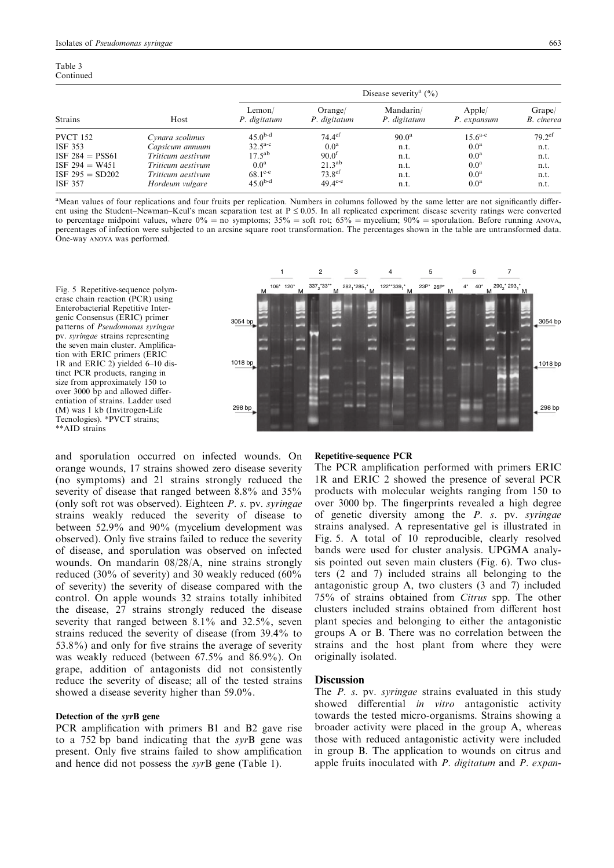| Table 3   |
|-----------|
| Continued |

|                   |                   | Disease severity <sup>a</sup> $(\% )$ |                         |                           |                       |                              |  |  |  |
|-------------------|-------------------|---------------------------------------|-------------------------|---------------------------|-----------------------|------------------------------|--|--|--|
| <b>Strains</b>    | Host              | Lemon/<br>P. digitatum                | Orange/<br>P. digitatum | Mandarin/<br>P. digitatum | Apple/<br>P. expansum | Grape/<br><b>B</b> . cinerea |  |  |  |
| <b>PVCT 152</b>   | Cynara scolimus   | $45.0^{b-d}$                          | $74.4$ <sup>ef</sup>    | 90.0 <sup>a</sup>         | $15.6^{\text{a-c}}$   | $79.2$ <sup>ef</sup>         |  |  |  |
| ISF 353           | Capsicum annuum   | $32.5^{a-c}$                          | 0.0 <sup>a</sup>        | n.t.                      | 0.0 <sup>a</sup>      | n.t.                         |  |  |  |
| $ISF 284 = PSS61$ | Triticum aestivum | $17.5^{ab}$                           | $90.0^{\text{f}}$       | n.t.                      | 0.0 <sup>a</sup>      | n.t.                         |  |  |  |
| $ISF 294 = W451$  | Triticum aestivum | 0.0 <sup>a</sup>                      | $21.3^{ab}$             | n.t.                      | 0.0 <sup>a</sup>      | n.t.                         |  |  |  |
| $ISF 295 = SD202$ | Triticum aestivum | $68.1^{\text{c-e}}$                   | 73.8 <sup>ef</sup>      | n.t.                      | 0.0 <sup>a</sup>      | n.t.                         |  |  |  |
| <b>ISF 357</b>    | Hordeum vulgare   | $45.0^{b-d}$                          | $49.4^{\circ -e}$       | n.t.                      | 0.0 <sup>a</sup>      | n.t.                         |  |  |  |

<sup>a</sup>Mean values of four replications and four fruits per replication. Numbers in columns followed by the same letter are not significantly different using the Student–Newman–Keul's mean separation test at  $P \le 0.05$ . In all replicated experiment disease severity ratings were converted to percentage midpoint values, where  $0\% =$  no symptoms;  $35\% =$  soft rot;  $65\% =$  mycelium;  $90\% =$  sporulation. Before running ANOVA, percentages of infection were subjected to an arcsine square root transformation. The percentages shown in the table are untransformed data. One-way anova was performed.

3054 br

1018 bp

298 bp

M

1

Fig. 5 Repetitive-sequence polymerase chain reaction (PCR) using Enterobacterial Repetitive Intergenic Consensus (ERIC) primer patterns of Pseudomonas syringae pv. syringae strains representing the seven main cluster. Amplification with ERIC primers (ERIC 1R and ERIC 2) yielded 6–10 distinct PCR products, ranging in size from approximately 150 to over 3000 bp and allowed differentiation of strains. Ladder used (M) was 1 kb (Invitrogen-Life Tecnologies). \*PVCT strains; \*\*AID strains

and sporulation occurred on infected wounds. On orange wounds, 17 strains showed zero disease severity (no symptoms) and 21 strains strongly reduced the severity of disease that ranged between 8.8% and 35% (only soft rot was observed). Eighteen  $P$ . s. pv. syringae strains weakly reduced the severity of disease to between 52.9% and 90% (mycelium development was observed). Only five strains failed to reduce the severity of disease, and sporulation was observed on infected wounds. On mandarin 08/28/A, nine strains strongly reduced (30% of severity) and 30 weakly reduced (60% of severity) the severity of disease compared with the control. On apple wounds 32 strains totally inhibited the disease, 27 strains strongly reduced the disease severity that ranged between  $8.1\%$  and  $32.5\%$ , seven strains reduced the severity of disease (from 39.4% to 53.8%) and only for five strains the average of severity was weakly reduced (between 67.5% and 86.9%). On grape, addition of antagonists did not consistently reduce the severity of disease; all of the tested strains showed a disease severity higher than 59.0%.

#### Detection of the syrB gene

PCR amplification with primers B1 and B2 gave rise to a 752 bp band indicating that the syrB gene was present. Only five strains failed to show amplification and hence did not possess the syrB gene (Table 1).

### Repetitive-sequence PCR

 $106^*$   $120^*$   $337_2$ <sup>\*33\*\*</sup>  $\phantom{1}$   $282_1$ \*285<sub>1</sub>\*  $\phantom{1}$   $122^{**}339_1^*$   $\phantom{1}$   $23P^*$   $26P^*$   $\phantom{1}$   $4^*$   $40^*$   $\phantom{1}$   $4290_2^*$   $293_1^*$ 

2 34 5 67 M M M M M M M M M

The PCR amplification performed with primers ERIC 1R and ERIC 2 showed the presence of several PCR products with molecular weights ranging from 150 to over 3000 bp. The fingerprints revealed a high degree of genetic diversity among the  $P$ . s. pv. syringae strains analysed. A representative gel is illustrated in Fig. 5. A total of 10 reproducible, clearly resolved bands were used for cluster analysis. UPGMA analysis pointed out seven main clusters (Fig. 6). Two clusters (2 and 7) included strains all belonging to the antagonistic group A, two clusters (3 and 7) included 75% of strains obtained from Citrus spp. The other clusters included strains obtained from different host plant species and belonging to either the antagonistic groups A or B. There was no correlation between the strains and the host plant from where they were originally isolated.

# **Discussion**

The *P. s.* pv. *syringae* strains evaluated in this study showed differential in vitro antagonistic activity towards the tested micro-organisms. Strains showing a broader activity were placed in the group A, whereas those with reduced antagonistic activity were included in group B. The application to wounds on citrus and apple fruits inoculated with P. digitatum and P. expan-

3054 bp

1018 bp

298 bp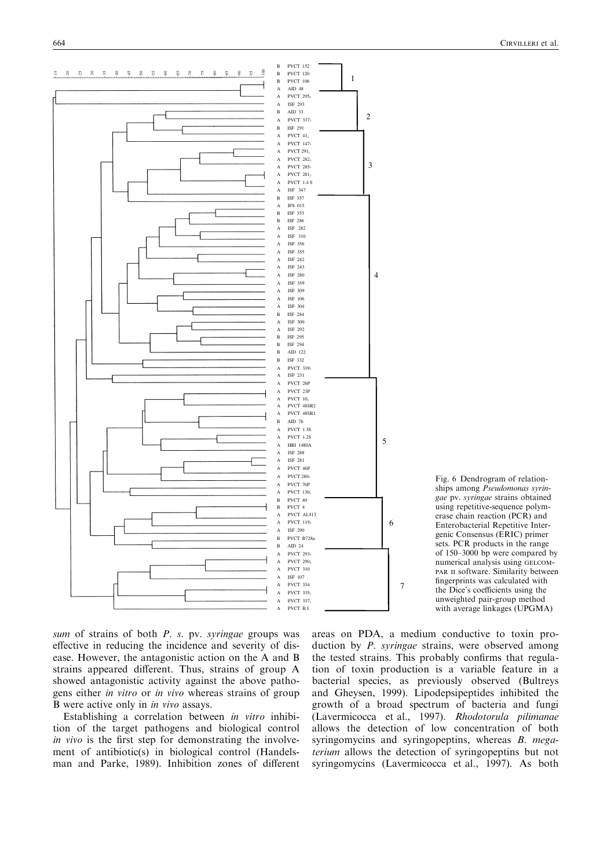

Fig. 6 Dendrogram of relationships among Pseudomonas syringae pv. syringae strains obtained using repetitive-sequence polymerase chain reaction (PCR) and Enterobacterial Repetitive Intergenic Consensus (ERIC) primer sets. PCR products in the range of 150–3000 bp were compared by numerical analysis using GELCOMpar ii software. Similarity between fingerprints was calculated with the Dice's coefficients using the unweighted pair-group method with average linkages (UPGMA)

sum of strains of both P. s. pv. syringae groups was effective in reducing the incidence and severity of disease. However, the antagonistic action on the A and B strains appeared different. Thus, strains of group A showed antagonistic activity against the above pathogens either in vitro or in vivo whereas strains of group B were active only in in vivo assays.

Establishing a correlation between in vitro inhibition of the target pathogens and biological control in vivo is the first step for demonstrating the involvement of antibiotic(s) in biological control (Handelsman and Parke, 1989). Inhibition zones of different

areas on PDA, a medium conductive to toxin production by *P. syringae* strains, were observed among the tested strains. This probably confirms that regulation of toxin production is a variable feature in a bacterial species, as previously observed (Bultreys and Gheysen, 1999). Lipodepsipeptides inhibited the growth of a broad spectrum of bacteria and fungi (Lavermicocca et al., 1997). Rhodotorula pilimanae allows the detection of low concentration of both syringomycins and syringopeptins, whereas *B. mega*terium allows the detection of syringopeptins but not syringomycins (Lavermicocca et al., 1997). As both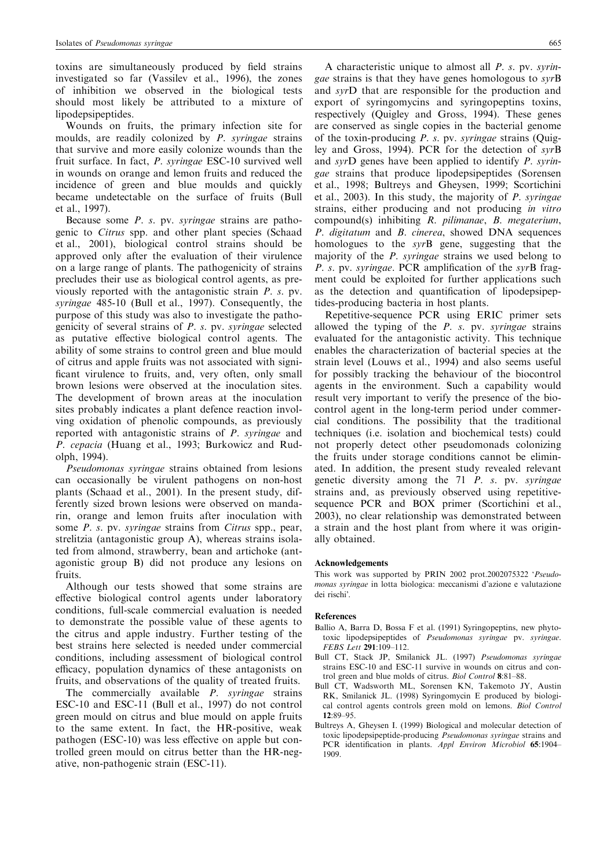toxins are simultaneously produced by field strains investigated so far (Vassilev et al., 1996), the zones of inhibition we observed in the biological tests should most likely be attributed to a mixture of lipodepsipeptides.

Wounds on fruits, the primary infection site for moulds, are readily colonized by  $P$ . syringae strains that survive and more easily colonize wounds than the fruit surface. In fact, P. syringae ESC-10 survived well in wounds on orange and lemon fruits and reduced the incidence of green and blue moulds and quickly became undetectable on the surface of fruits (Bull et al., 1997).

Because some P. s. pv. syringae strains are pathogenic to Citrus spp. and other plant species (Schaad et al., 2001), biological control strains should be approved only after the evaluation of their virulence on a large range of plants. The pathogenicity of strains precludes their use as biological control agents, as previously reported with the antagonistic strain P. s. pv. syringae 485-10 (Bull et al., 1997). Consequently, the purpose of this study was also to investigate the pathogenicity of several strains of P. s. pv. syringae selected as putative effective biological control agents. The ability of some strains to control green and blue mould of citrus and apple fruits was not associated with significant virulence to fruits, and, very often, only small brown lesions were observed at the inoculation sites. The development of brown areas at the inoculation sites probably indicates a plant defence reaction involving oxidation of phenolic compounds, as previously reported with antagonistic strains of P. syringae and P. cepacia (Huang et al., 1993; Burkowicz and Rudolph, 1994).

Pseudomonas syringae strains obtained from lesions can occasionally be virulent pathogens on non-host plants (Schaad et al., 2001). In the present study, differently sized brown lesions were observed on mandarin, orange and lemon fruits after inoculation with some P. s. pv. *syringae* strains from *Citrus* spp., pear, strelitzia (antagonistic group A), whereas strains isolated from almond, strawberry, bean and artichoke (antagonistic group B) did not produce any lesions on fruits.

Although our tests showed that some strains are effective biological control agents under laboratory conditions, full-scale commercial evaluation is needed to demonstrate the possible value of these agents to the citrus and apple industry. Further testing of the best strains here selected is needed under commercial conditions, including assessment of biological control efficacy, population dynamics of these antagonists on fruits, and observations of the quality of treated fruits.

The commercially available *P. syringae* strains ESC-10 and ESC-11 (Bull et al., 1997) do not control green mould on citrus and blue mould on apple fruits to the same extent. In fact, the HR-positive, weak pathogen (ESC-10) was less effective on apple but controlled green mould on citrus better than the HR-negative, non-pathogenic strain (ESC-11).

A characteristic unique to almost all P. s. pv. syringae strains is that they have genes homologous to syrB and syrD that are responsible for the production and export of syringomycins and syringopeptins toxins, respectively (Quigley and Gross, 1994). These genes are conserved as single copies in the bacterial genome of the toxin-producing  $P$ . s. pv. syringae strains (Quigley and Gross, 1994). PCR for the detection of syrB and syrD genes have been applied to identify P. syringae strains that produce lipodepsipeptides (Sorensen et al., 1998; Bultreys and Gheysen, 1999; Scortichini et al., 2003). In this study, the majority of P. syringae strains, either producing and not producing in vitro compound(s) inhibiting R. pilimanae, B. megaterium, P. digitatum and B. cinerea, showed DNA sequences homologues to the syrB gene, suggesting that the majority of the P. syringae strains we used belong to P. s. pv. syringae. PCR amplification of the syrB fragment could be exploited for further applications such as the detection and quantification of lipodepsipeptides-producing bacteria in host plants.

Repetitive-sequence PCR using ERIC primer sets allowed the typing of the  $P$ . s. pv. syringae strains evaluated for the antagonistic activity. This technique enables the characterization of bacterial species at the strain level (Louws et al., 1994) and also seems useful for possibly tracking the behaviour of the biocontrol agents in the environment. Such a capability would result very important to verify the presence of the biocontrol agent in the long-term period under commercial conditions. The possibility that the traditional techniques (i.e. isolation and biochemical tests) could not properly detect other pseudomonads colonizing the fruits under storage conditions cannot be eliminated. In addition, the present study revealed relevant genetic diversity among the 71 P. s. pv. syringae strains and, as previously observed using repetitivesequence PCR and BOX primer (Scortichini et al., 2003), no clear relationship was demonstrated between a strain and the host plant from where it was originally obtained.

#### Acknowledgements

This work was supported by PRIN 2002 prot.2002075322 'Pseudomonas syringae in lotta biologica: meccanismi d'azione e valutazione dei rischi.

# References

- Ballio A, Barra D, Bossa F et al. (1991) Syringopeptins, new phytotoxic lipodepsipeptides of Pseudomonas syringae pv. syringae. FEBS Lett 291:109–112.
- Bull CT, Stack JP, Smilanick JL. (1997) Pseudomonas syringae strains ESC-10 and ESC-11 survive in wounds on citrus and control green and blue molds of citrus. Biol Control 8:81-88.
- Bull CT, Wadsworth ML, Sorensen KN, Takemoto JY, Austin RK, Smilanick JL. (1998) Syringomycin E produced by biological control agents controls green mold on lemons. Biol Control 12:89–95.
- Bultreys A, Gheysen I. (1999) Biological and molecular detection of toxic lipodepsipeptide-producing Pseudomonas syringae strains and PCR identification in plants. Appl Environ Microbiol 65:1904– 1909.